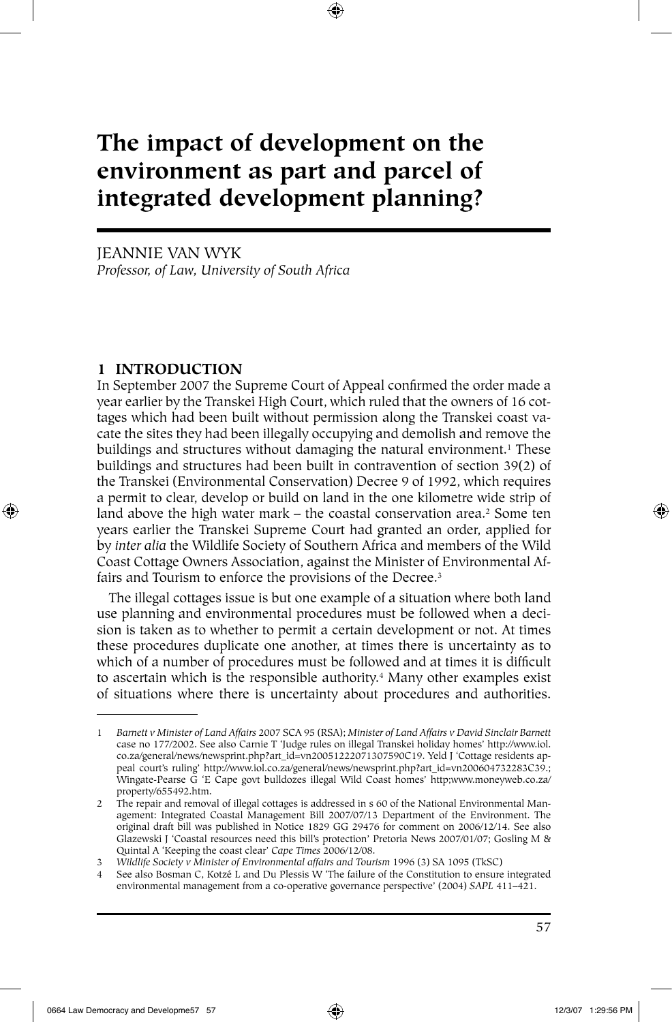# **The impact of development on the environment as part and parcel of integrated development planning?**

JEANNIE VAN WYK *Professor, of Law, University of South Africa*

# **1 INTRODUCTION**

⊕

In September 2007 the Supreme Court of Appeal confirmed the order made a year earlier by the Transkei High Court, which ruled that the owners of 16 cottages which had been built without permission along the Transkei coast vacate the sites they had been illegally occupying and demolish and remove the buildings and structures without damaging the natural environment.<sup>1</sup> These buildings and structures had been built in contravention of section 39(2) of the Transkei (Environmental Conservation) Decree 9 of 1992, which requires a permit to clear, develop or build on land in the one kilometre wide strip of land above the high water mark – the coastal conservation area.<sup>2</sup> Some ten years earlier the Transkei Supreme Court had granted an order, applied for by *inter alia* the Wildlife Society of Southern Africa and members of the Wild Coast Cottage Owners Association, against the Minister of Environmental Affairs and Tourism to enforce the provisions of the Decree.<sup>3</sup>

The illegal cottages issue is but one example of a situation where both land use planning and environmental procedures must be followed when a decision is taken as to whether to permit a certain development or not. At times these procedures duplicate one another, at times there is uncertainty as to which of a number of procedures must be followed and at times it is difficult to ascertain which is the responsible authority.<sup>4</sup> Many other examples exist of situations where there is uncertainty about procedures and authorities.

♠

<sup>1</sup> *Barnett v Minister of Land Affairs* 2007 SCA 95 (RSA); *Minister of Land Affairs v David Sinclair Barnett*  case no 177/2002. See also Carnie T 'Judge rules on illegal Transkei holiday homes' http://www.iol. co.za/general/news/newsprint.php?art\_id=vn20051222071307590C19. Yeld J 'Cottage residents appeal court's ruling' http://www.iol.co.za/general/news/newsprint.php?art\_id=vn200604732283C39.; Wingate-Pearse G 'E Cape govt bulldozes illegal Wild Coast homes' http;www.moneyweb.co.za/ property/655492.htm.

<sup>2</sup> The repair and removal of illegal cottages is addressed in s 60 of the National Environmental Management: Integrated Coastal Management Bill 2007/07/13 Department of the Environment. The original draft bill was published in Notice 1829 GG 29476 for comment on 2006/12/14. See also Glazewski J 'Coastal resources need this bill's protection' Pretoria News 2007/01/07; Gosling M & Quintal A 'Keeping the coast clear' *Cape Times* 2006/12/08.

<sup>3</sup> *Wildlife Society v Minister of Environmental affairs and Tourism* 1996 (3) SA 1095 (TkSC)

See also Bosman C, Kotzé L and Du Plessis W 'The failure of the Constitution to ensure integrated environmental management from a co-operative governance perspective' (2004) *SAPL* 411–421.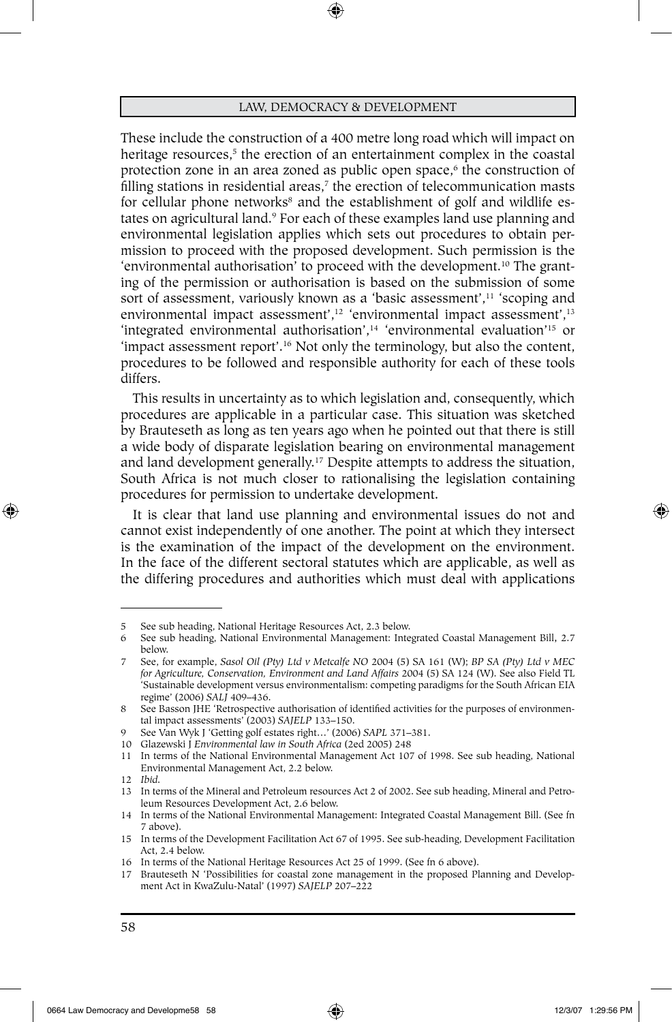⊕

These include the construction of a 400 metre long road which will impact on heritage resources,<sup>5</sup> the erection of an entertainment complex in the coastal protection zone in an area zoned as public open space,<sup>6</sup> the construction of filling stations in residential areas, $\imath$  the erection of telecommunication masts  $\imath$ for cellular phone networks<sup>s</sup> and the establishment of golf and wildlife estates on agricultural land.<sup>9</sup> For each of these examples land use planning and environmental legislation applies which sets out procedures to obtain permission to proceed with the proposed development. Such permission is the 'environmental authorisation' to proceed with the development.10 The granting of the permission or authorisation is based on the submission of some sort of assessment, variously known as a 'basic assessment',<sup>11</sup> 'scoping and environmental impact assessment',<sup>12</sup> 'environmental impact assessment',<sup>13</sup> 'integrated environmental authorisation',<sup>14</sup> 'environmental evaluation'<sup>15</sup> or 'impact assessment report'.16 Not only the terminology, but also the content, procedures to be followed and responsible authority for each of these tools differs.

This results in uncertainty as to which legislation and, consequently, which procedures are applicable in a particular case. This situation was sketched by Brauteseth as long as ten years ago when he pointed out that there is still a wide body of disparate legislation bearing on environmental management and land development generally.17 Despite attempts to address the situation, South Africa is not much closer to rationalising the legislation containing procedures for permission to undertake development.

It is clear that land use planning and environmental issues do not and cannot exist independently of one another. The point at which they intersect is the examination of the impact of the development on the environment. In the face of the different sectoral statutes which are applicable, as well as the differing procedures and authorities which must deal with applications

⊕

<sup>5</sup> See sub heading, National Heritage Resources Act, 2.3 below.

<sup>6</sup> See sub heading, National Environmental Management: Integrated Coastal Management Bill**,** 2.7 below.

<sup>7</sup> See, for example, *Sasol Oil (Pty) Ltd v Metcalfe NO* 2004 (5) SA 161 (W); *BP SA (Pty) Ltd v MEC for Agriculture, Conservation, Environment and Land Affairs* 2004 (5) SA 124 (W). See also Field TL 'Sustainable development versus environmentalism: competing paradigms for the South African EIA regime' (2006) *SALJ* 409–436.

<sup>8</sup> See Basson JHE 'Retrospective authorisation of identified activities for the purposes of environmental impact assessments' (2003) *SAJELP* 133–150.

<sup>9</sup> See Van Wyk J 'Getting golf estates right…' (2006) *SAPL* 371–381.

<sup>10</sup> Glazewski J *Environmental law in South Africa* (2ed 2005) 248

<sup>11</sup> In terms of the National Environmental Management Act 107 of 1998. See sub heading, National Environmental Management Act, 2.2 below.

<sup>12</sup> *Ibid.*

<sup>13</sup> In terms of the Mineral and Petroleum resources Act 2 of 2002. See sub heading, Mineral and Petroleum Resources Development Act, 2.6 below.

<sup>14</sup> In terms of the National Environmental Management: Integrated Coastal Management Bill. (See fn 7 above).

<sup>15</sup> In terms of the Development Facilitation Act 67 of 1995. See sub-heading, Development Facilitation Act, 2.4 below.

<sup>16</sup> In terms of the National Heritage Resources Act 25 of 1999. (See fn 6 above).

<sup>17</sup> Brauteseth N 'Possibilities for coastal zone management in the proposed Planning and Development Act in KwaZulu-Natal' (1997) *SAJELP* 207–222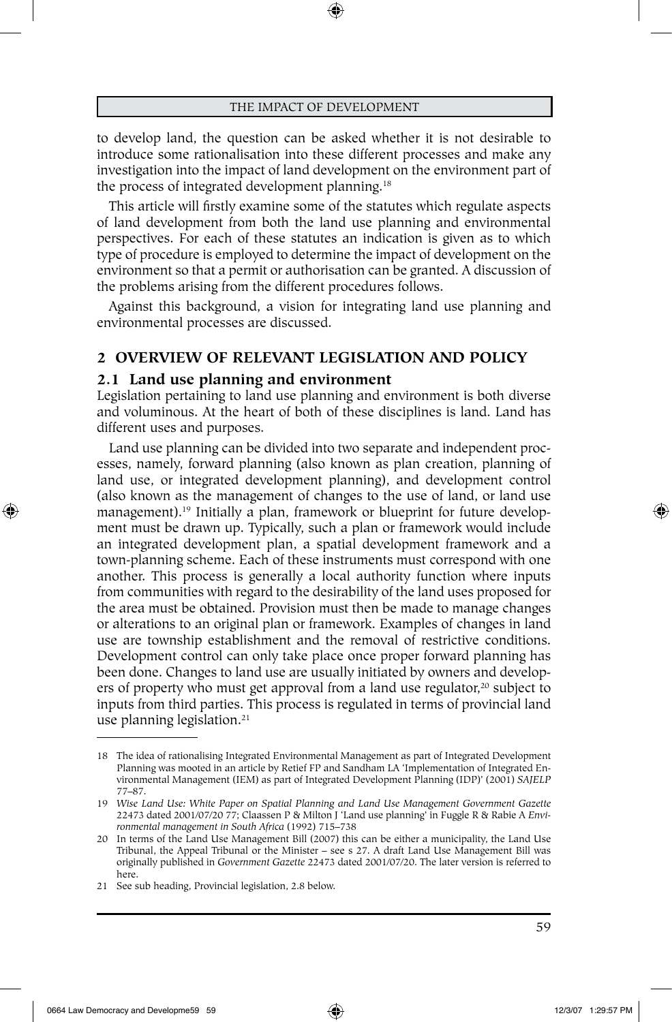⊕

to develop land, the question can be asked whether it is not desirable to introduce some rationalisation into these different processes and make any investigation into the impact of land development on the environment part of the process of integrated development planning.<sup>18</sup>

This article will firstly examine some of the statutes which regulate aspects of land development from both the land use planning and environmental perspectives. For each of these statutes an indication is given as to which type of procedure is employed to determine the impact of development on the environment so that a permit or authorisation can be granted. A discussion of the problems arising from the different procedures follows.

Against this background, a vision for integrating land use planning and environmental processes are discussed.

# **2 OVERVIEW OF RELEVANT LEGISLATION AND POLICY**

#### **2.1 Land use planning and environment**

Legislation pertaining to land use planning and environment is both diverse and voluminous. At the heart of both of these disciplines is land. Land has different uses and purposes.

Land use planning can be divided into two separate and independent processes, namely, forward planning (also known as plan creation, planning of land use, or integrated development planning), and development control (also known as the management of changes to the use of land, or land use management).19 Initially a plan, framework or blueprint for future development must be drawn up. Typically, such a plan or framework would include an integrated development plan, a spatial development framework and a town-planning scheme. Each of these instruments must correspond with one another. This process is generally a local authority function where inputs from communities with regard to the desirability of the land uses proposed for the area must be obtained. Provision must then be made to manage changes or alterations to an original plan or framework. Examples of changes in land use are township establishment and the removal of restrictive conditions. Development control can only take place once proper forward planning has been done. Changes to land use are usually initiated by owners and developers of property who must get approval from a land use regulator,<sup>20</sup> subject to inputs from third parties. This process is regulated in terms of provincial land use planning legislation.<sup>21</sup>

⊕

<sup>18</sup> The idea of rationalising Integrated Environmental Management as part of Integrated Development Planning was mooted in an article by Retief FP and Sandham LA 'Implementation of Integrated Environmental Management (IEM) as part of Integrated Development Planning (IDP)' (2001) *SAJELP*  77–87.

<sup>19</sup> *Wise Land Use: White Paper on Spatial Planning and Land Use Management Government Gazette*  22473 dated 2001/07/20 77; Claassen P & Milton J 'Land use planning' in Fuggle R & Rabie A *Environmental management in South Africa* (1992) 715–738

<sup>20</sup> In terms of the Land Use Management Bill (2007) this can be either a municipality, the Land Use Tribunal, the Appeal Tribunal or the Minister – see s 27. A draft Land Use Management Bill was originally published in *Government Gazette* 22473 dated 2001/07/20. The later version is referred to here.

<sup>21</sup> See sub heading, Provincial legislation, 2.8 below.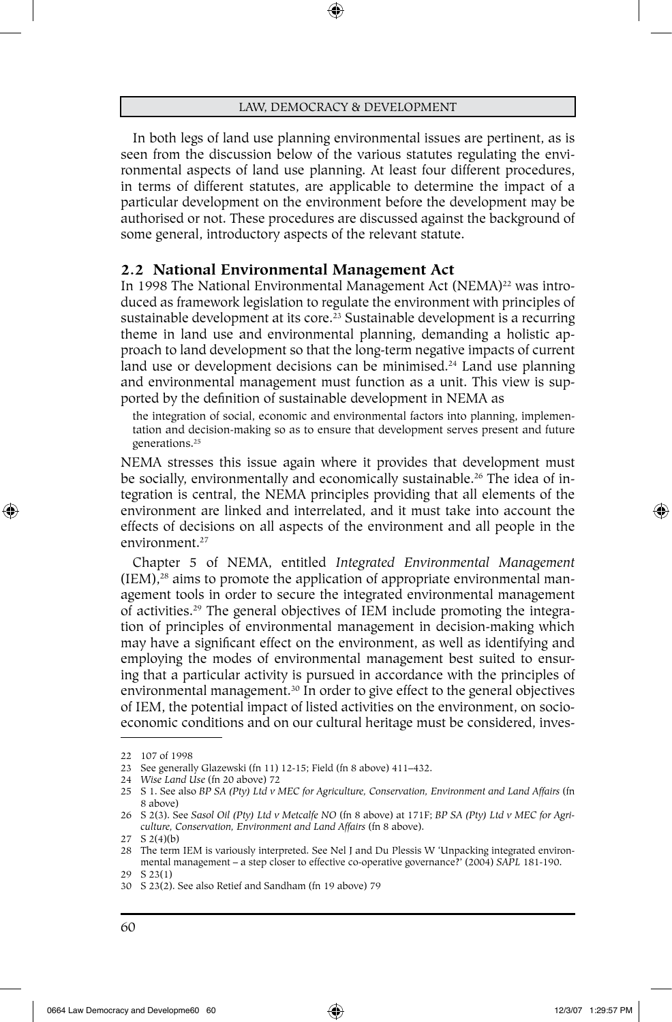⊕

In both legs of land use planning environmental issues are pertinent, as is seen from the discussion below of the various statutes regulating the environmental aspects of land use planning. At least four different procedures, in terms of different statutes, are applicable to determine the impact of a particular development on the environment before the development may be authorised or not. These procedures are discussed against the background of some general, introductory aspects of the relevant statute.

## **2.2 National Environmental Management Act**

In 1998 The National Environmental Management Act (NEMA)<sup>22</sup> was introduced as framework legislation to regulate the environment with principles of sustainable development at its core.<sup>23</sup> Sustainable development is a recurring theme in land use and environmental planning, demanding a holistic approach to land development so that the long-term negative impacts of current land use or development decisions can be minimised.<sup>24</sup> Land use planning and environmental management must function as a unit. This view is supported by the definition of sustainable development in NEMA as

the integration of social, economic and environmental factors into planning, implementation and decision-making so as to ensure that development serves present and future generations.25

NEMA stresses this issue again where it provides that development must be socially, environmentally and economically sustainable.26 The idea of integration is central, the NEMA principles providing that all elements of the environment are linked and interrelated, and it must take into account the effects of decisions on all aspects of the environment and all people in the environment.<sup>27</sup>

Chapter 5 of NEMA, entitled *Integrated Environmental Management*  $(IEM)$ ,<sup>28</sup> aims to promote the application of appropriate environmental management tools in order to secure the integrated environmental management of activities.29 The general objectives of IEM include promoting the integration of principles of environmental management in decision-making which may have a significant effect on the environment, as well as identifying and employing the modes of environmental management best suited to ensuring that a particular activity is pursued in accordance with the principles of environmental management.<sup>30</sup> In order to give effect to the general objectives of IEM, the potential impact of listed activities on the environment, on socioeconomic conditions and on our cultural heritage must be considered, inves-

⊕

<sup>22</sup> 107 of 1998

<sup>23</sup> See generally Glazewski (fn 11) 12-15; Field (fn 8 above) 411–432.

<sup>24</sup> *Wise Land Use* (fn 20 above) 72

<sup>25</sup> S 1. See also *BP SA (Pty) Ltd v MEC for Agriculture, Conservation, Environment and Land Affairs* (fn 8 above)

<sup>26</sup> S 2(3). See *Sasol Oil (Pty) Ltd v Metcalfe NO* (fn 8 above) at 171F; *BP SA (Pty) Ltd v MEC for Agriculture, Conservation, Environment and Land Affairs* (fn 8 above).

<sup>27</sup> S 2(4)(b)

<sup>28</sup> The term IEM is variously interpreted. See Nel J and Du Plessis W 'Unpacking integrated environmental management – a step closer to effective co-operative governance?' (2004) *SAPL* 181-190. 29 S 23(1)

<sup>30</sup> S 23(2). See also Retief and Sandham (fn 19 above) 79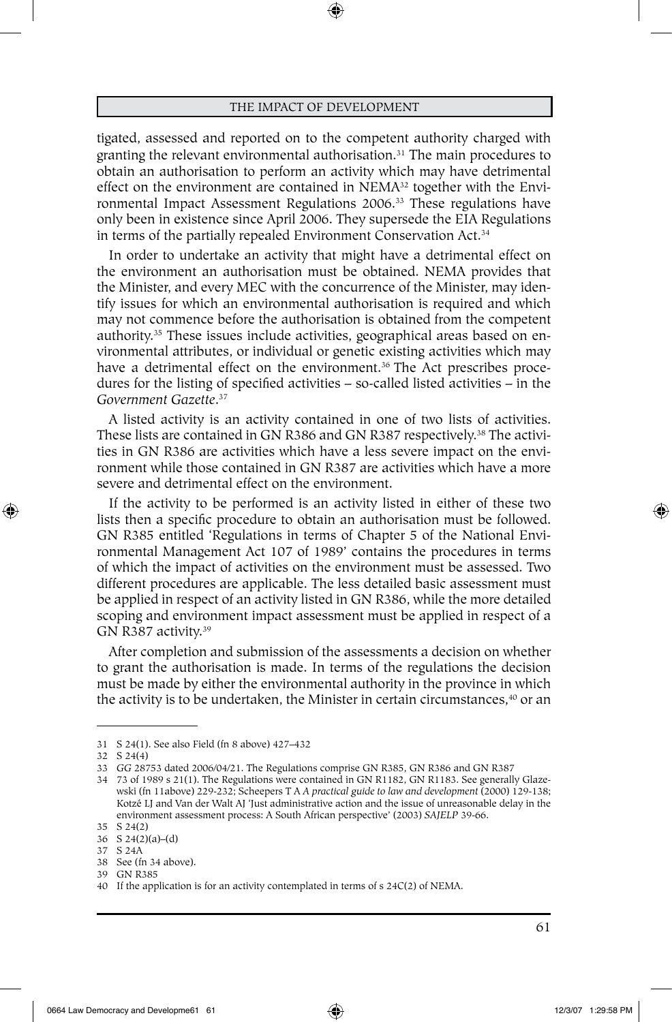⊕

tigated, assessed and reported on to the competent authority charged with granting the relevant environmental authorisation.<sup>31</sup> The main procedures to obtain an authorisation to perform an activity which may have detrimental effect on the environment are contained in NEMA<sup>32</sup> together with the Environmental Impact Assessment Regulations 2006.33 These regulations have only been in existence since April 2006. They supersede the EIA Regulations in terms of the partially repealed Environment Conservation Act.34

In order to undertake an activity that might have a detrimental effect on the environment an authorisation must be obtained. NEMA provides that the Minister, and every MEC with the concurrence of the Minister, may identify issues for which an environmental authorisation is required and which may not commence before the authorisation is obtained from the competent authority.35 These issues include activities, geographical areas based on environmental attributes, or individual or genetic existing activities which may have a detrimental effect on the environment.<sup>36</sup> The Act prescribes procedures for the listing of specified activities – so-called listed activities – in the *Government Gazette*. 37

A listed activity is an activity contained in one of two lists of activities. These lists are contained in GN R386 and GN R387 respectively.<sup>38</sup> The activities in GN R386 are activities which have a less severe impact on the environment while those contained in GN R387 are activities which have a more severe and detrimental effect on the environment.

If the activity to be performed is an activity listed in either of these two lists then a specific procedure to obtain an authorisation must be followed. GN R385 entitled 'Regulations in terms of Chapter 5 of the National Environmental Management Act 107 of 1989' contains the procedures in terms of which the impact of activities on the environment must be assessed. Two different procedures are applicable. The less detailed basic assessment must be applied in respect of an activity listed in GN R386, while the more detailed scoping and environment impact assessment must be applied in respect of a GN R387 activity.39

After completion and submission of the assessments a decision on whether to grant the authorisation is made. In terms of the regulations the decision must be made by either the environmental authority in the province in which the activity is to be undertaken, the Minister in certain circumstances,<sup>40</sup> or an

⊕

<sup>31</sup> S 24(1). See also Field (fn 8 above) 427–432

<sup>32</sup> S 24(4)

<sup>33</sup> *GG* 28753 dated 2006/04/21. The Regulations comprise GN R385, GN R386 and GN R387

<sup>34</sup> 73 of 1989 s 21(1). The Regulations were contained in GN R1182, GN R1183. See generally Glazewski (fn 11above) 229-232; Scheepers T A *A practical guide to law and development* (2000) 129-138; Kotzé LJ and Van der Walt AJ 'Just administrative action and the issue of unreasonable delay in the environment assessment process: A South African perspective' (2003) *SAJELP* 39-66.

<sup>35</sup> S 24(2) 36 S 24(2)(a)–(d)

<sup>37</sup> S 24A

<sup>38</sup> See (fn 34 above). 39 GN R385

<sup>40</sup> If the application is for an activity contemplated in terms of s 24C(2) of NEMA.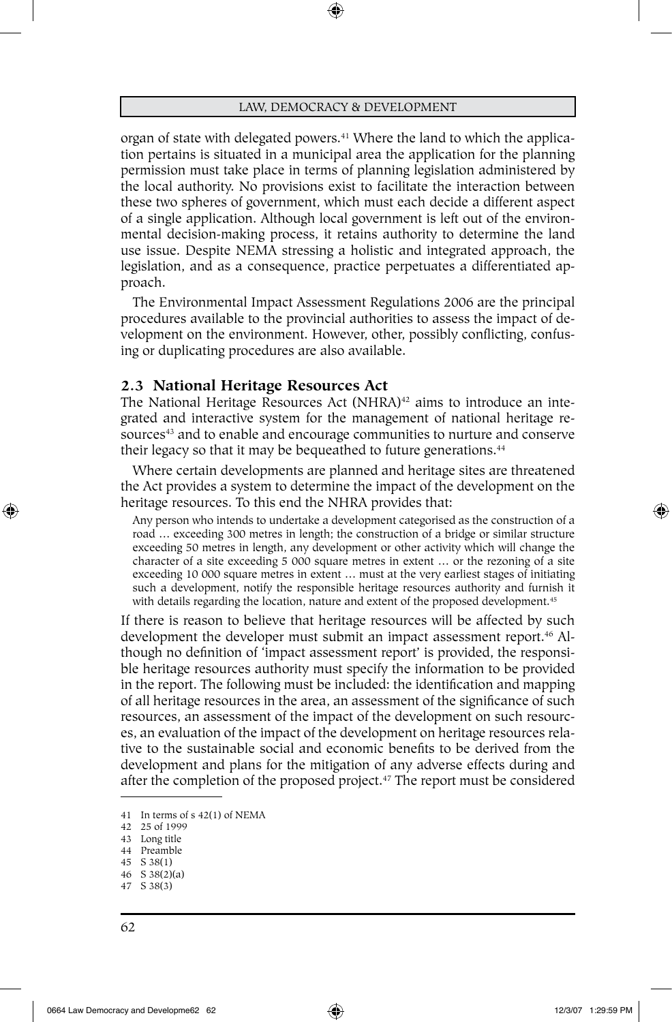organ of state with delegated powers.<sup>41</sup> Where the land to which the application pertains is situated in a municipal area the application for the planning permission must take place in terms of planning legislation administered by the local authority. No provisions exist to facilitate the interaction between these two spheres of government, which must each decide a different aspect of a single application. Although local government is left out of the environmental decision-making process, it retains authority to determine the land use issue. Despite NEMA stressing a holistic and integrated approach, the legislation, and as a consequence, practice perpetuates a differentiated approach.

The Environmental Impact Assessment Regulations 2006 are the principal procedures available to the provincial authorities to assess the impact of development on the environment. However, other, possibly conflicting, confusing or duplicating procedures are also available.

#### **2.3 National Heritage Resources Act**

The National Heritage Resources Act (NHRA)<sup>42</sup> aims to introduce an integrated and interactive system for the management of national heritage resources<sup>43</sup> and to enable and encourage communities to nurture and conserve their legacy so that it may be bequeathed to future generations.<sup>44</sup>

Where certain developments are planned and heritage sites are threatened the Act provides a system to determine the impact of the development on the heritage resources. To this end the NHRA provides that:

Any person who intends to undertake a development categorised as the construction of a road ... exceeding 300 metres in length; the construction of a bridge or similar structure exceeding 50 metres in length, any development or other activity which will change the character of a site exceeding 5 000 square metres in extent … or the rezoning of a site exceeding 10 000 square metres in extent … must at the very earliest stages of initiating such a development, notify the responsible heritage resources authority and furnish it with details regarding the location, nature and extent of the proposed development.<sup>45</sup>

If there is reason to believe that heritage resources will be affected by such development the developer must submit an impact assessment report.46 Although no definition of 'impact assessment report' is provided, the responsible heritage resources authority must specify the information to be provided in the report. The following must be included: the identification and mapping of all heritage resources in the area, an assessment of the significance of such resources, an assessment of the impact of the development on such resources, an evaluation of the impact of the development on heritage resources relative to the sustainable social and economic benefits to be derived from the development and plans for the mitigation of any adverse effects during and after the completion of the proposed project.47 The report must be considered

- 45 S 38(1)
- 46 S 38(2)(a) 47 S 38(3)

⊕

<sup>41</sup> In terms of s 42(1) of NEMA

<sup>42</sup> 25 of 1999

<sup>43</sup> Long title

<sup>44</sup> Preamble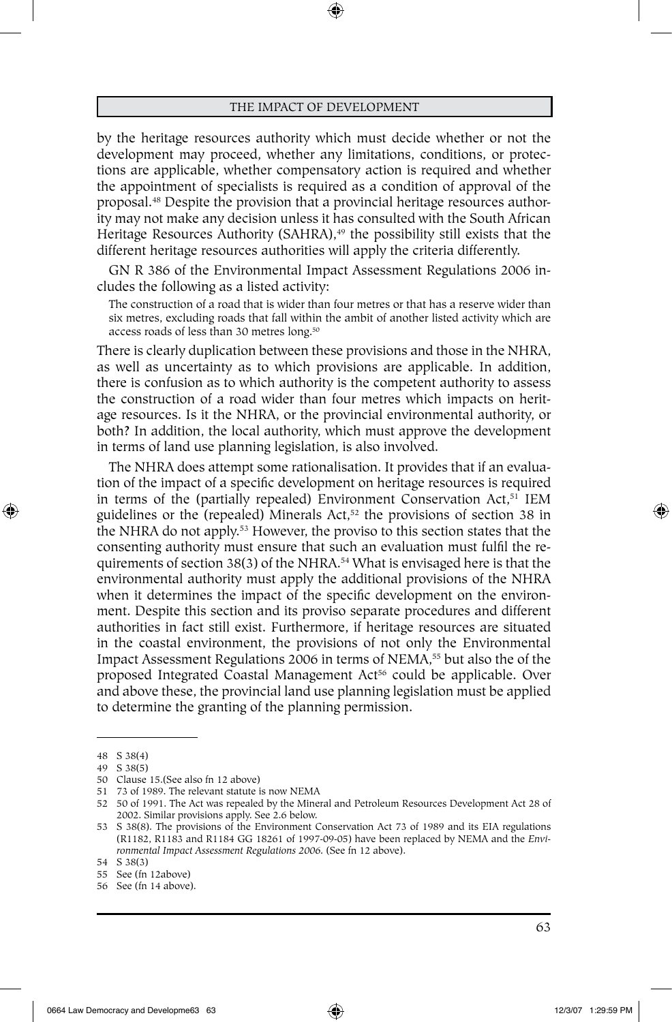by the heritage resources authority which must decide whether or not the development may proceed, whether any limitations, conditions, or protections are applicable, whether compensatory action is required and whether the appointment of specialists is required as a condition of approval of the proposal.48 Despite the provision that a provincial heritage resources authority may not make any decision unless it has consulted with the South African Heritage Resources Authority (SAHRA),<sup>49</sup> the possibility still exists that the different heritage resources authorities will apply the criteria differently.

GN R 386 of the Environmental Impact Assessment Regulations 2006 includes the following as a listed activity:

The construction of a road that is wider than four metres or that has a reserve wider than six metres, excluding roads that fall within the ambit of another listed activity which are access roads of less than 30 metres long.50

There is clearly duplication between these provisions and those in the NHRA, as well as uncertainty as to which provisions are applicable. In addition, there is confusion as to which authority is the competent authority to assess the construction of a road wider than four metres which impacts on heritage resources. Is it the NHRA, or the provincial environmental authority, or both? In addition, the local authority, which must approve the development in terms of land use planning legislation, is also involved.

The NHRA does attempt some rationalisation. It provides that if an evaluation of the impact of a specific development on heritage resources is required in terms of the (partially repealed) Environment Conservation Act,<sup>51</sup> IEM guidelines or the (repealed) Minerals Act,<sup>52</sup> the provisions of section 38 in the NHRA do not apply.<sup>53</sup> However, the proviso to this section states that the consenting authority must ensure that such an evaluation must fulfil the requirements of section 38(3) of the NHRA.<sup>54</sup> What is envisaged here is that the environmental authority must apply the additional provisions of the NHRA when it determines the impact of the specific development on the environment. Despite this section and its proviso separate procedures and different authorities in fact still exist. Furthermore, if heritage resources are situated in the coastal environment, the provisions of not only the Environmental Impact Assessment Regulations 2006 in terms of NEMA,<sup>55</sup> but also the of the proposed Integrated Coastal Management Act<sup>56</sup> could be applicable. Over and above these, the provincial land use planning legislation must be applied to determine the granting of the planning permission.

⊕

<sup>48</sup> S 38(4)

<sup>49</sup> S 38(5)

<sup>50</sup> Clause 15.(See also fn 12 above)

<sup>51</sup> 73 of 1989. The relevant statute is now NEMA

<sup>52</sup> 50 of 1991. The Act was repealed by the Mineral and Petroleum Resources Development Act 28 of 2002. Similar provisions apply. See 2.6 below.

<sup>53</sup> S 38(8). The provisions of the Environment Conservation Act 73 of 1989 and its EIA regulations (R1182, R1183 and R1184 GG 18261 of 1997-09-05) have been replaced by NEMA and the *Environmental Impact Assessment Regulations 2006.* (See fn 12 above).

<sup>54</sup> S 38(3)

<sup>55</sup> See (fn 12above)

<sup>56</sup> See (fn 14 above).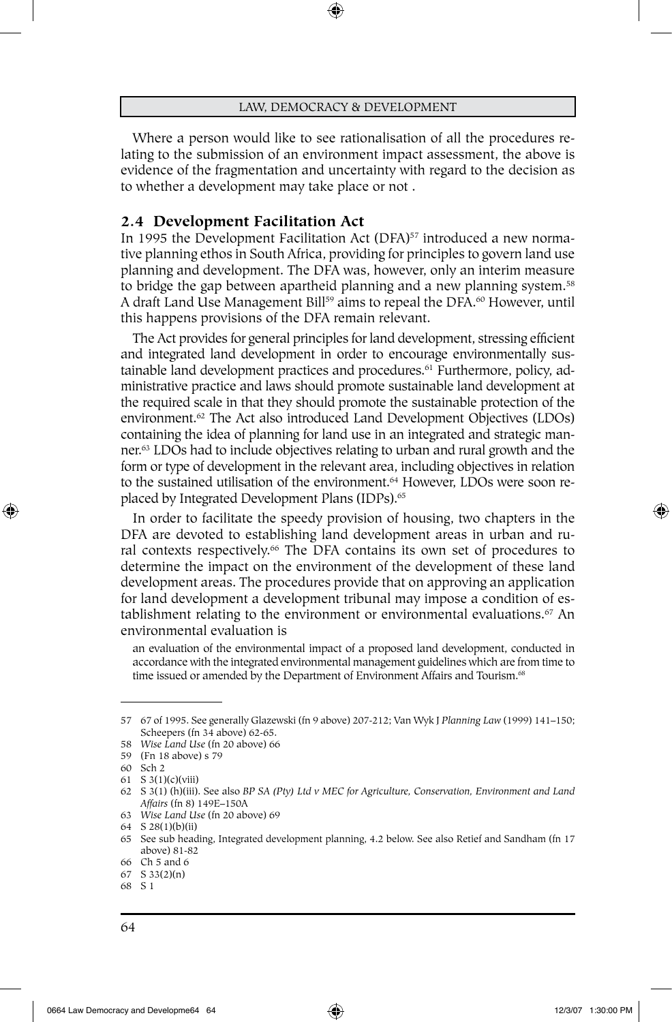⊕

Where a person would like to see rationalisation of all the procedures relating to the submission of an environment impact assessment, the above is evidence of the fragmentation and uncertainty with regard to the decision as to whether a development may take place or not .

#### **2.4 Development Facilitation Act**

In 1995 the Development Facilitation Act  $(DFA)^{57}$  introduced a new normative planning ethos in South Africa, providing for principles to govern land use planning and development. The DFA was, however, only an interim measure to bridge the gap between apartheid planning and a new planning system.<sup>58</sup> A draft Land Use Management Bill<sup>59</sup> aims to repeal the DFA.<sup>60</sup> However, until this happens provisions of the DFA remain relevant.

The Act provides for general principles for land development, stressing efficient and integrated land development in order to encourage environmentally sustainable land development practices and procedures.<sup>61</sup> Furthermore, policy, administrative practice and laws should promote sustainable land development at the required scale in that they should promote the sustainable protection of the environment.62 The Act also introduced Land Development Objectives (LDOs) containing the idea of planning for land use in an integrated and strategic manner.63 LDOs had to include objectives relating to urban and rural growth and the form or type of development in the relevant area, including objectives in relation to the sustained utilisation of the environment.<sup>64</sup> However, LDOs were soon replaced by Integrated Development Plans (IDPs).<sup>65</sup>

In order to facilitate the speedy provision of housing, two chapters in the DFA are devoted to establishing land development areas in urban and rural contexts respectively.<sup>66</sup> The DFA contains its own set of procedures to determine the impact on the environment of the development of these land development areas. The procedures provide that on approving an application for land development a development tribunal may impose a condition of establishment relating to the environment or environmental evaluations.<sup>67</sup> An environmental evaluation is

an evaluation of the environmental impact of a proposed land development, conducted in accordance with the integrated environmental management guidelines which are from time to time issued or amended by the Department of Environment Affairs and Tourism.<sup>68</sup>

⊕

<sup>57</sup> 67 of 1995. See generally Glazewski (fn 9 above) 207-212; Van Wyk J *Planning Law* (1999) 141–150; Scheepers (fn 34 above) 62-65.

<sup>58</sup> *Wise Land Use* (fn 20 above) 66

<sup>59</sup> (Fn 18 above) s 79

<sup>60</sup> Sch 2

<sup>61</sup> S 3(1)(c)(viii)

<sup>62</sup> S 3(1) (h)(iii). See also *BP SA (Pty) Ltd v MEC for Agriculture, Conservation, Environment and Land Affairs* (fn 8) 149E–150A

<sup>63</sup> *Wise Land Use* (fn 20 above) 69

<sup>64</sup> S 28(1)(b)(ii)

<sup>65</sup> See sub heading, Integrated development planning, 4.2 below. See also Retief and Sandham (fn 17 above) 81-82

<sup>66</sup> Ch 5 and 6

<sup>67</sup> S 33(2)(n) 68 S 1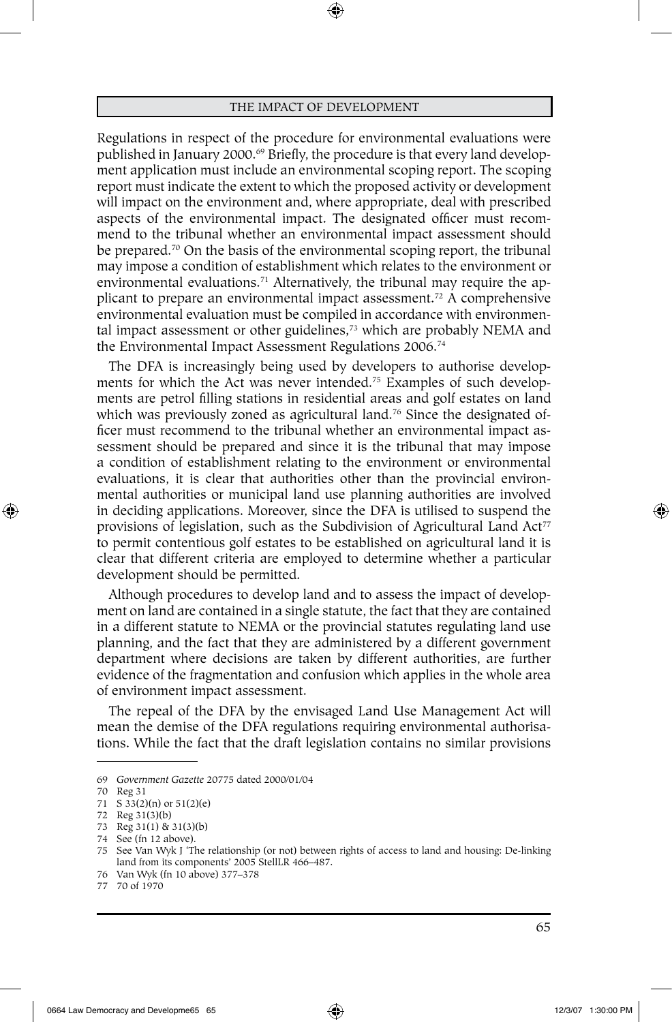Regulations in respect of the procedure for environmental evaluations were published in January 2000.<sup>69</sup> Briefly, the procedure is that every land development application must include an environmental scoping report. The scoping report must indicate the extent to which the proposed activity or development will impact on the environment and, where appropriate, deal with prescribed aspects of the environmental impact. The designated officer must recommend to the tribunal whether an environmental impact assessment should be prepared.<sup>70</sup> On the basis of the environmental scoping report, the tribunal may impose a condition of establishment which relates to the environment or environmental evaluations.<sup>71</sup> Alternatively, the tribunal may require the applicant to prepare an environmental impact assessment.72 A comprehensive environmental evaluation must be compiled in accordance with environmental impact assessment or other guidelines,<sup>73</sup> which are probably NEMA and the Environmental Impact Assessment Regulations 2006.74

The DFA is increasingly being used by developers to authorise developments for which the Act was never intended.75 Examples of such developments are petrol filling stations in residential areas and golf estates on land which was previously zoned as agricultural land.<sup>76</sup> Since the designated officer must recommend to the tribunal whether an environmental impact assessment should be prepared and since it is the tribunal that may impose a condition of establishment relating to the environment or environmental evaluations, it is clear that authorities other than the provincial environmental authorities or municipal land use planning authorities are involved in deciding applications. Moreover, since the DFA is utilised to suspend the provisions of legislation, such as the Subdivision of Agricultural Land  $Act^{77}$ to permit contentious golf estates to be established on agricultural land it is clear that different criteria are employed to determine whether a particular development should be permitted.

Although procedures to develop land and to assess the impact of development on land are contained in a single statute, the fact that they are contained in a different statute to NEMA or the provincial statutes regulating land use planning, and the fact that they are administered by a different government department where decisions are taken by different authorities, are further evidence of the fragmentation and confusion which applies in the whole area of environment impact assessment.

The repeal of the DFA by the envisaged Land Use Management Act will mean the demise of the DFA regulations requiring environmental authorisations. While the fact that the draft legislation contains no similar provisions

⊕

<sup>69</sup> *Government Gazette* 20775 dated 2000/01/04

<sup>70</sup> Reg 31

<sup>71</sup> S 33(2)(n) or 51(2)(e)

<sup>72</sup> Reg 31(3)(b)

<sup>73</sup> Reg 31(1) & 31(3)(b)

<sup>74</sup> See (fn 12 above).

<sup>75</sup> See Van Wyk J 'The relationship (or not) between rights of access to land and housing: De-linking land from its components' 2005 StellLR 466–487.

<sup>76</sup> Van Wyk (fn 10 above) 377–378

<sup>77</sup> 70 of 1970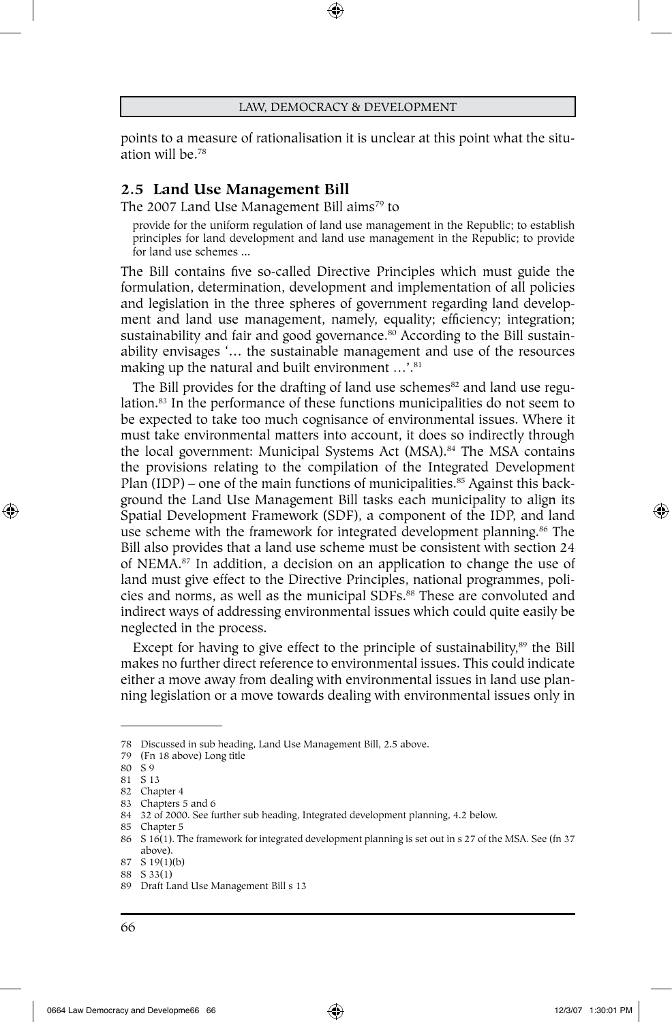⊕

points to a measure of rationalisation it is unclear at this point what the situation will be.78

## **2.5 Land Use Management Bill**

The 2007 Land Use Management Bill aims<sup>79</sup> to

provide for the uniform regulation of land use management in the Republic; to establish principles for land development and land use management in the Republic; to provide for land use schemes ...

The Bill contains five so-called Directive Principles which must guide the formulation, determination, development and implementation of all policies and legislation in the three spheres of government regarding land development and land use management, namely, equality; efficiency; integration; sustainability and fair and good governance.<sup>80</sup> According to the Bill sustainability envisages '… the sustainable management and use of the resources making up the natural and built environment ...'.<sup>81</sup>

The Bill provides for the drafting of land use schemes<sup>82</sup> and land use regulation.<sup>83</sup> In the performance of these functions municipalities do not seem to be expected to take too much cognisance of environmental issues. Where it must take environmental matters into account, it does so indirectly through the local government: Municipal Systems Act (MSA).<sup>84</sup> The MSA contains the provisions relating to the compilation of the Integrated Development Plan  $(IDP)$  – one of the main functions of municipalities.<sup>85</sup> Against this background the Land Use Management Bill tasks each municipality to align its Spatial Development Framework (SDF), a component of the IDP, and land use scheme with the framework for integrated development planning.<sup>86</sup> The Bill also provides that a land use scheme must be consistent with section 24 of NEMA.87 In addition, a decision on an application to change the use of land must give effect to the Directive Principles, national programmes, policies and norms, as well as the municipal SDFs.<sup>88</sup> These are convoluted and indirect ways of addressing environmental issues which could quite easily be neglected in the process.

Except for having to give effect to the principle of sustainability,<sup>89</sup> the Bill makes no further direct reference to environmental issues. This could indicate either a move away from dealing with environmental issues in land use planning legislation or a move towards dealing with environmental issues only in

⊕

<sup>78</sup> Discussed in sub heading, Land Use Management Bill, 2.5 above.

<sup>79</sup> (Fn 18 above) Long title 80 S 9

<sup>81</sup> S 13

<sup>82</sup> Chapter 4 83 Chapters 5 and 6

<sup>84</sup> 32 of 2000. See further sub heading, Integrated development planning, 4.2 below.

<sup>85</sup> Chapter 5

<sup>86</sup> S 16(1). The framework for integrated development planning is set out in s 27 of the MSA. See (fn 37 above).

<sup>87</sup> S 19(1)(b)

<sup>88</sup> S 33(1)

<sup>89</sup> Draft Land Use Management Bill s 13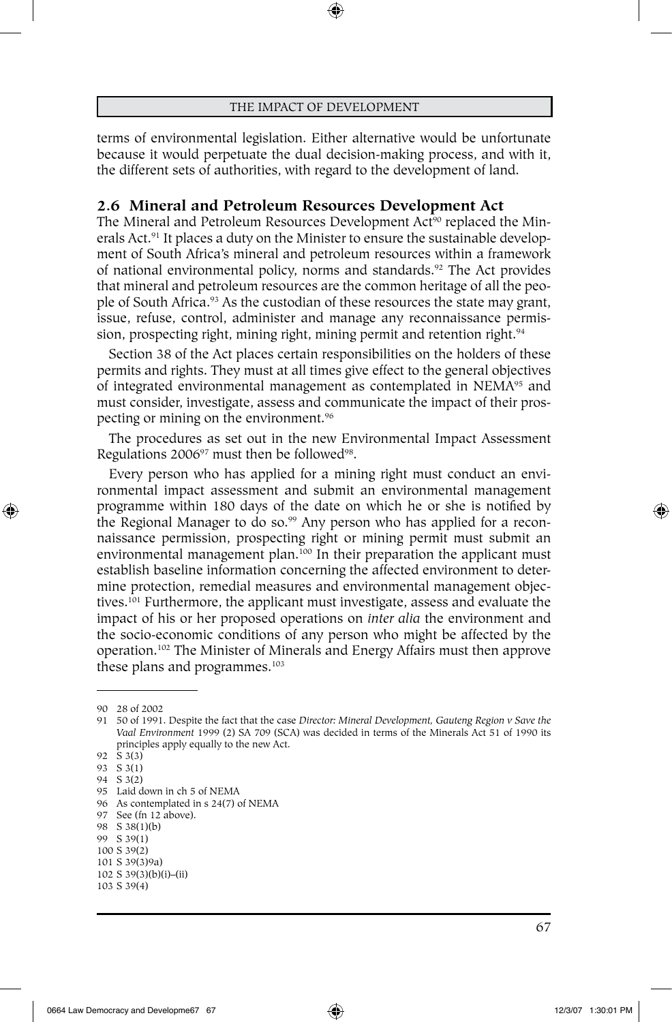⊕

terms of environmental legislation. Either alternative would be unfortunate because it would perpetuate the dual decision-making process, and with it, the different sets of authorities, with regard to the development of land.

# **2.6 Mineral and Petroleum Resources Development Act**

The Mineral and Petroleum Resources Development Act<sup>90</sup> replaced the Minerals Act.91 It places a duty on the Minister to ensure the sustainable development of South Africa's mineral and petroleum resources within a framework of national environmental policy, norms and standards.<sup>92</sup> The Act provides that mineral and petroleum resources are the common heritage of all the people of South Africa.93 As the custodian of these resources the state may grant, issue, refuse, control, administer and manage any reconnaissance permission, prospecting right, mining right, mining permit and retention right.<sup>94</sup>

Section 38 of the Act places certain responsibilities on the holders of these permits and rights. They must at all times give effect to the general objectives of integrated environmental management as contemplated in NEMA95 and must consider, investigate, assess and communicate the impact of their prospecting or mining on the environment.96

The procedures as set out in the new Environmental Impact Assessment Regulations 200697 must then be followed98.

Every person who has applied for a mining right must conduct an environmental impact assessment and submit an environmental management programme within 180 days of the date on which he or she is notified by the Regional Manager to do so.<sup>99</sup> Any person who has applied for a reconnaissance permission, prospecting right or mining permit must submit an environmental management plan.<sup>100</sup> In their preparation the applicant must establish baseline information concerning the affected environment to determine protection, remedial measures and environmental management objectives.101 Furthermore, the applicant must investigate, assess and evaluate the impact of his or her proposed operations on *inter alia* the environment and the socio-economic conditions of any person who might be affected by the operation.102 The Minister of Minerals and Energy Affairs must then approve these plans and programmes.103

⊕

<sup>90</sup> 28 of 2002

<sup>91</sup> 50 of 1991. Despite the fact that the case *Director: Mineral Development, Gauteng Region v Save the Vaal Environment* 1999 (2) SA 709 (SCA) was decided in terms of the Minerals Act 51 of 1990 its principles apply equally to the new Act.

<sup>92</sup> S 3(3)

<sup>93</sup> S 3(1) 94 S 3(2)

<sup>95</sup> Laid down in ch 5 of NEMA 96 As contemplated in s 24(7) of NEMA

<sup>97</sup> See (fn 12 above).

<sup>98</sup> S 38(1)(b)

<sup>99</sup> S 39(1)

<sup>100</sup> S 39(2)

<sup>101</sup> S 39(3)9a)

<sup>102</sup> S 39(3)(b)(i)–(ii) 103 S 39(4)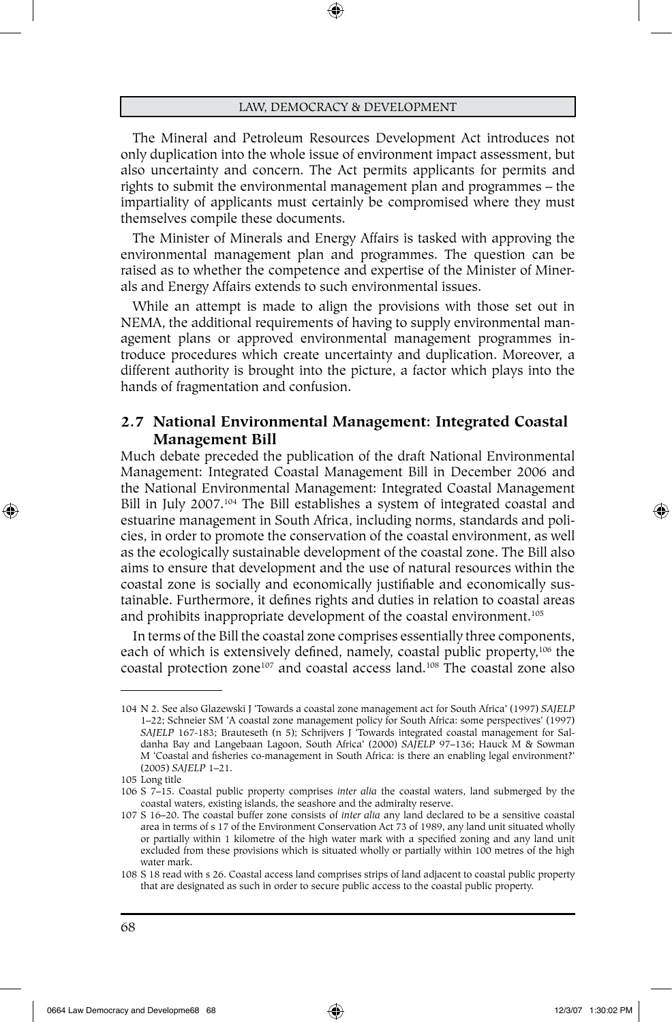The Mineral and Petroleum Resources Development Act introduces not only duplication into the whole issue of environment impact assessment, but also uncertainty and concern. The Act permits applicants for permits and rights to submit the environmental management plan and programmes – the impartiality of applicants must certainly be compromised where they must themselves compile these documents.

The Minister of Minerals and Energy Affairs is tasked with approving the environmental management plan and programmes. The question can be raised as to whether the competence and expertise of the Minister of Minerals and Energy Affairs extends to such environmental issues.

While an attempt is made to align the provisions with those set out in NEMA, the additional requirements of having to supply environmental management plans or approved environmental management programmes introduce procedures which create uncertainty and duplication. Moreover, a different authority is brought into the picture, a factor which plays into the hands of fragmentation and confusion.

# **2.7 National Environmental Management: Integrated Coastal Management Bill**

Much debate preceded the publication of the draft National Environmental Management: Integrated Coastal Management Bill in December 2006 and the National Environmental Management: Integrated Coastal Management Bill in July 2007.<sup>104</sup> The Bill establishes a system of integrated coastal and estuarine management in South Africa, including norms, standards and policies, in order to promote the conservation of the coastal environment, as well as the ecologically sustainable development of the coastal zone. The Bill also aims to ensure that development and the use of natural resources within the coastal zone is socially and economically justifiable and economically sustainable. Furthermore, it defines rights and duties in relation to coastal areas and prohibits inappropriate development of the coastal environment.<sup>105</sup>

In terms of the Bill the coastal zone comprises essentially three components, each of which is extensively defined, namely, coastal public property,<sup>106</sup> the coastal protection zone107 and coastal access land.108 The coastal zone also

⊕

<sup>104</sup> N 2. See also Glazewski J 'Towards a coastal zone management act for South Africa' (1997) *SAJELP* 1–22; Schneier SM 'A coastal zone management policy for South Africa: some perspectives' (1997) *SAJELP* 167-183; Brauteseth (n 5); Schrijvers J 'Towards integrated coastal management for Saldanha Bay and Langebaan Lagoon, South Africa' (2000) *SAJELP* 97–136; Hauck M & Sowman M 'Coastal and fisheries co-management in South Africa: is there an enabling legal environment?' (2005) *SAJELP* 1–21.

<sup>105</sup> Long title

<sup>106</sup> S 7–15. Coastal public property comprises *inter alia* the coastal waters, land submerged by the coastal waters, existing islands, the seashore and the admiralty reserve.

<sup>107</sup> S 16–20. The coastal buffer zone consists of *inter alia* any land declared to be a sensitive coastal area in terms of s 17 of the Environment Conservation Act 73 of 1989, any land unit situated wholly or partially within 1 kilometre of the high water mark with a specified zoning and any land unit excluded from these provisions which is situated wholly or partially within 100 metres of the high water mark.

<sup>108</sup> S 18 read with s 26. Coastal access land comprises strips of land adjacent to coastal public property that are designated as such in order to secure public access to the coastal public property.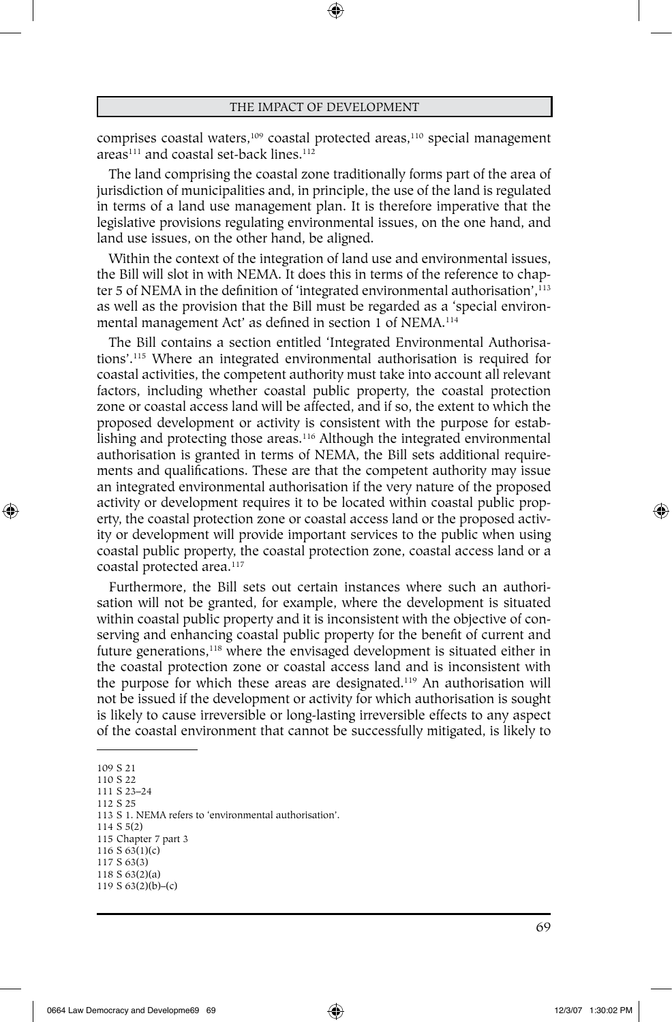⊕

comprises coastal waters,<sup>109</sup> coastal protected areas,<sup>110</sup> special management areas<sup>111</sup> and coastal set-back lines.<sup>112</sup>

The land comprising the coastal zone traditionally forms part of the area of jurisdiction of municipalities and, in principle, the use of the land is regulated in terms of a land use management plan. It is therefore imperative that the legislative provisions regulating environmental issues, on the one hand, and land use issues, on the other hand, be aligned.

Within the context of the integration of land use and environmental issues, the Bill will slot in with NEMA. It does this in terms of the reference to chapter 5 of NEMA in the definition of 'integrated environmental authorisation', $^{113}$ as well as the provision that the Bill must be regarded as a 'special environmental management Act' as defined in section 1 of NEMA.<sup>114</sup>

The Bill contains a section entitled 'Integrated Environmental Authorisations'.115 Where an integrated environmental authorisation is required for coastal activities, the competent authority must take into account all relevant factors, including whether coastal public property, the coastal protection zone or coastal access land will be affected, and if so, the extent to which the proposed development or activity is consistent with the purpose for establishing and protecting those areas.<sup>116</sup> Although the integrated environmental authorisation is granted in terms of NEMA, the Bill sets additional requirements and qualifications. These are that the competent authority may issue an integrated environmental authorisation if the very nature of the proposed activity or development requires it to be located within coastal public property, the coastal protection zone or coastal access land or the proposed activity or development will provide important services to the public when using coastal public property, the coastal protection zone, coastal access land or a coastal protected area.<sup>117</sup>

Furthermore, the Bill sets out certain instances where such an authorisation will not be granted, for example, where the development is situated within coastal public property and it is inconsistent with the objective of conserving and enhancing coastal public property for the benefit of current and future generations,<sup>118</sup> where the envisaged development is situated either in the coastal protection zone or coastal access land and is inconsistent with the purpose for which these areas are designated.119 An authorisation will not be issued if the development or activity for which authorisation is sought is likely to cause irreversible or long-lasting irreversible effects to any aspect of the coastal environment that cannot be successfully mitigated, is likely to

109 S 21

⊕

110 S 22

111 S 23–24 112 S 25

113 S 1. NEMA refers to 'environmental authorisation'. 114 S 5(2)

- 115 Chapter 7 part 3
- 116 S 63(1)(c)
- 117 S 63(3)

<sup>118</sup> S 63(2)(a)

<sup>119</sup> S 63(2)(b)–(c)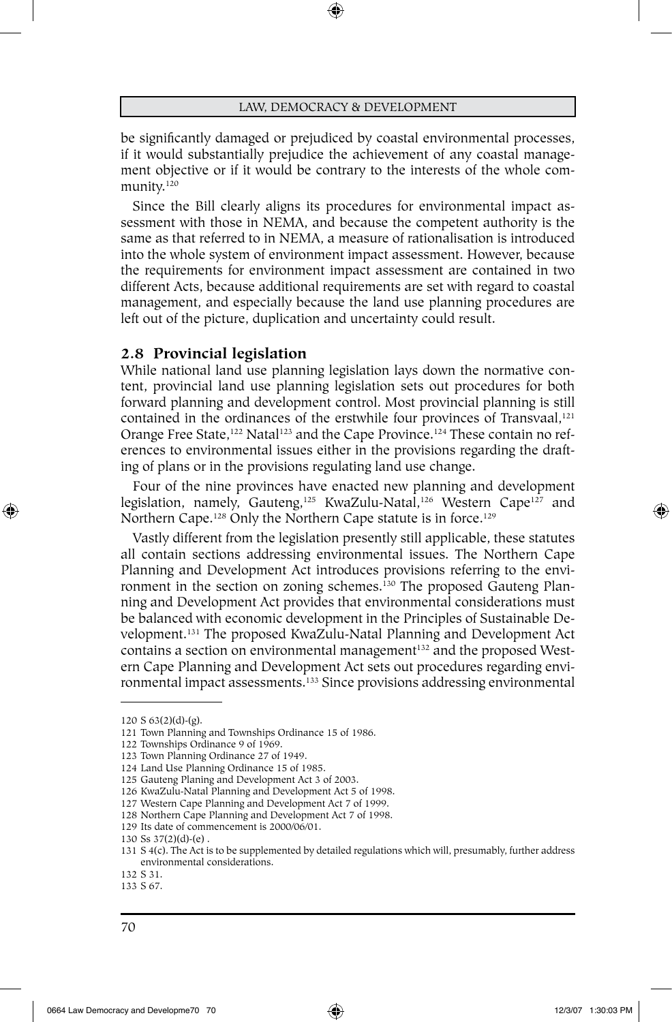⊕

be significantly damaged or prejudiced by coastal environmental processes, if it would substantially prejudice the achievement of any coastal management objective or if it would be contrary to the interests of the whole community.120

Since the Bill clearly aligns its procedures for environmental impact assessment with those in NEMA, and because the competent authority is the same as that referred to in NEMA, a measure of rationalisation is introduced into the whole system of environment impact assessment. However, because the requirements for environment impact assessment are contained in two different Acts, because additional requirements are set with regard to coastal management, and especially because the land use planning procedures are left out of the picture, duplication and uncertainty could result.

#### **2.8 Provincial legislation**

While national land use planning legislation lays down the normative content, provincial land use planning legislation sets out procedures for both forward planning and development control. Most provincial planning is still contained in the ordinances of the erstwhile four provinces of Transvaal, $121$ Orange Free State,<sup>122</sup> Natal<sup>123</sup> and the Cape Province.<sup>124</sup> These contain no references to environmental issues either in the provisions regarding the drafting of plans or in the provisions regulating land use change.

Four of the nine provinces have enacted new planning and development legislation, namely, Gauteng,<sup>125</sup> KwaZulu-Natal,<sup>126</sup> Western Cape<sup>127</sup> and Northern Cape.<sup>128</sup> Only the Northern Cape statute is in force.<sup>129</sup>

Vastly different from the legislation presently still applicable, these statutes all contain sections addressing environmental issues. The Northern Cape Planning and Development Act introduces provisions referring to the environment in the section on zoning schemes.<sup>130</sup> The proposed Gauteng Planning and Development Act provides that environmental considerations must be balanced with economic development in the Principles of Sustainable Development.131 The proposed KwaZulu-Natal Planning and Development Act contains a section on environmental management<sup>132</sup> and the proposed Western Cape Planning and Development Act sets out procedures regarding environmental impact assessments.133 Since provisions addressing environmental

⊕

<sup>120</sup> S 63(2)(d)-(g).

<sup>121</sup> Town Planning and Townships Ordinance 15 of 1986.

<sup>122</sup> Townships Ordinance 9 of 1969.

<sup>123</sup> Town Planning Ordinance 27 of 1949.

<sup>124</sup> Land Use Planning Ordinance 15 of 1985.

<sup>125</sup> Gauteng Planing and Development Act 3 of 2003.

<sup>126</sup> KwaZulu-Natal Planning and Development Act 5 of 1998.

<sup>127</sup> Western Cape Planning and Development Act 7 of 1999.

<sup>128</sup> Northern Cape Planning and Development Act 7 of 1998.

<sup>129</sup> Its date of commencement is 2000/06/01.

<sup>130</sup> Ss 37(2)(d)-(e) .

<sup>131</sup> S 4(c). The Act is to be supplemented by detailed regulations which will, presumably, further address environmental considerations.

<sup>132</sup> S 31. 133 S 67.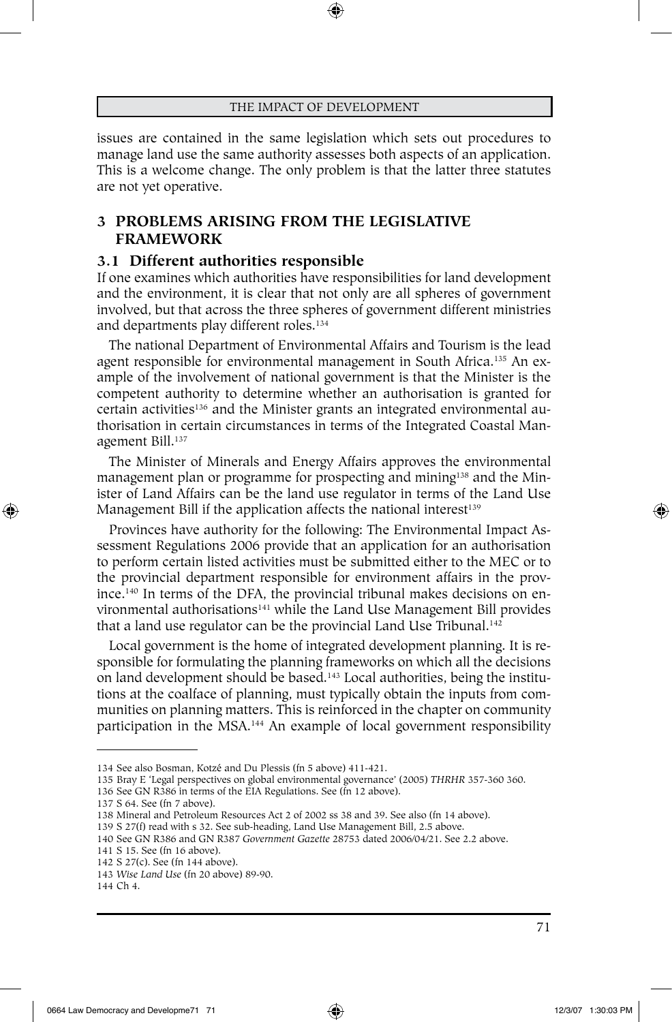issues are contained in the same legislation which sets out procedures to manage land use the same authority assesses both aspects of an application. This is a welcome change. The only problem is that the latter three statutes are not yet operative.

# **3 PROBLEMS ARISING FROM THE LEGISLATIVE FRAMEWORK**

#### **3.1 Different authorities responsible**

If one examines which authorities have responsibilities for land development and the environment, it is clear that not only are all spheres of government involved, but that across the three spheres of government different ministries and departments play different roles.<sup>134</sup>

The national Department of Environmental Affairs and Tourism is the lead agent responsible for environmental management in South Africa.<sup>135</sup> An example of the involvement of national government is that the Minister is the competent authority to determine whether an authorisation is granted for certain activities<sup>136</sup> and the Minister grants an integrated environmental authorisation in certain circumstances in terms of the Integrated Coastal Management Bill.137

The Minister of Minerals and Energy Affairs approves the environmental management plan or programme for prospecting and mining<sup>138</sup> and the Minister of Land Affairs can be the land use regulator in terms of the Land Use Management Bill if the application affects the national interest<sup>139</sup>

Provinces have authority for the following: The Environmental Impact Assessment Regulations 2006 provide that an application for an authorisation to perform certain listed activities must be submitted either to the MEC or to the provincial department responsible for environment affairs in the province.140 In terms of the DFA, the provincial tribunal makes decisions on environmental authorisations<sup>141</sup> while the Land Use Management Bill provides that a land use regulator can be the provincial Land Use Tribunal.<sup>142</sup>

Local government is the home of integrated development planning. It is responsible for formulating the planning frameworks on which all the decisions on land development should be based.<sup>143</sup> Local authorities, being the institutions at the coalface of planning, must typically obtain the inputs from communities on planning matters. This is reinforced in the chapter on community participation in the MSA.144 An example of local government responsibility

⊕

<sup>134</sup> See also Bosman, Kotzé and Du Plessis (fn 5 above) 411-421.

<sup>135</sup> Bray E 'Legal perspectives on global environmental governance' (2005) *THRHR* 357-360 360.

<sup>136</sup> See GN R386 in terms of the EIA Regulations. See (fn 12 above).

<sup>137</sup> S 64. See (fn 7 above).

<sup>138</sup> Mineral and Petroleum Resources Act 2 of 2002 ss 38 and 39. See also (fn 14 above).

<sup>139</sup> S 27(f) read with s 32. See sub-heading, Land Use Management Bill, 2.5 above.

<sup>140</sup> See GN R386 and GN R387 *Government Gazette* 28753 dated 2006/04/21. See 2.2 above.

<sup>141</sup> S 15. See (fn 16 above).

<sup>142</sup> S 27(c). See (fn 144 above).

<sup>143</sup> *Wise Land Use* (fn 20 above) 89-90.

<sup>144</sup> Ch 4.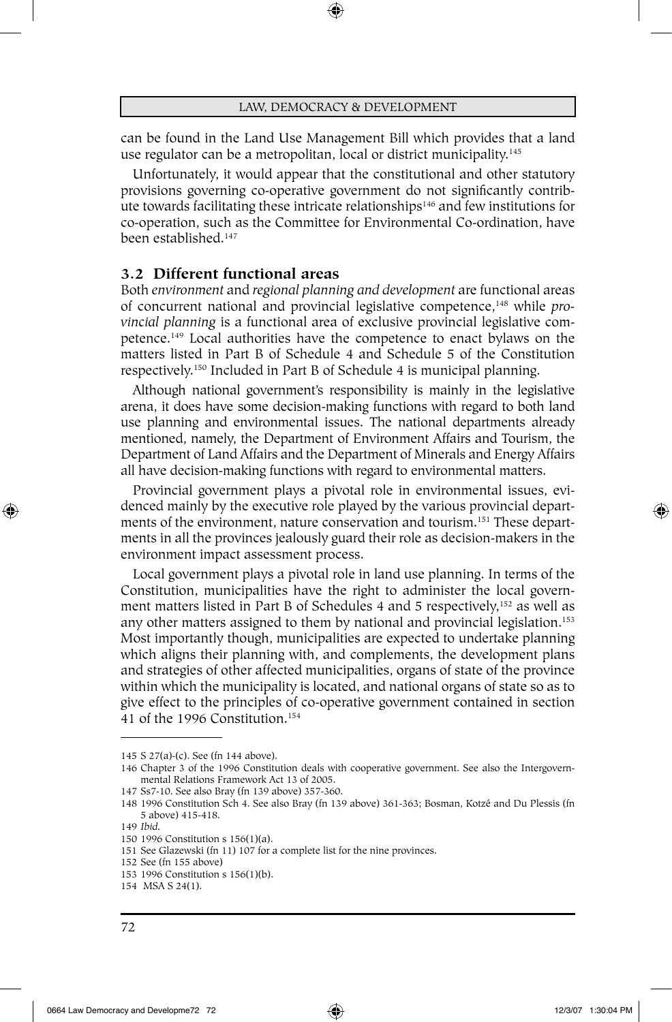⊕

can be found in the Land Use Management Bill which provides that a land use regulator can be a metropolitan, local or district municipality.145

Unfortunately, it would appear that the constitutional and other statutory provisions governing co-operative government do not significantly contribute towards facilitating these intricate relationships<sup>146</sup> and few institutions for co-operation, such as the Committee for Environmental Co-ordination, have been established.147

# **3.2 Different functional areas**

Both *environment* and *regional planning and development* are functional areas of concurrent national and provincial legislative competence,148 while *provincial planning* is a functional area of exclusive provincial legislative competence.149 Local authorities have the competence to enact bylaws on the matters listed in Part B of Schedule 4 and Schedule 5 of the Constitution respectively.150 Included in Part B of Schedule 4 is municipal planning.

Although national government's responsibility is mainly in the legislative arena, it does have some decision-making functions with regard to both land use planning and environmental issues. The national departments already mentioned, namely, the Department of Environment Affairs and Tourism, the Department of Land Affairs and the Department of Minerals and Energy Affairs all have decision-making functions with regard to environmental matters.

Provincial government plays a pivotal role in environmental issues, evidenced mainly by the executive role played by the various provincial departments of the environment, nature conservation and tourism.151 These departments in all the provinces jealously guard their role as decision-makers in the environment impact assessment process.

Local government plays a pivotal role in land use planning. In terms of the Constitution, municipalities have the right to administer the local government matters listed in Part B of Schedules 4 and 5 respectively,<sup>152</sup> as well as any other matters assigned to them by national and provincial legislation.<sup>153</sup> Most importantly though, municipalities are expected to undertake planning which aligns their planning with, and complements, the development plans and strategies of other affected municipalities, organs of state of the province within which the municipality is located, and national organs of state so as to give effect to the principles of co-operative government contained in section 41 of the 1996 Constitution.154

⊕

<sup>145</sup> S 27(a)-(c). See (fn 144 above).

<sup>146</sup> Chapter 3 of the 1996 Constitution deals with cooperative government. See also the Intergovernmental Relations Framework Act 13 of 2005.

<sup>147</sup> Ss7-10. See also Bray (fn 139 above) 357-360.

<sup>148</sup> 1996 Constitution Sch 4. See also Bray (fn 139 above) 361-363; Bosman, Kotzé and Du Plessis (fn 5 above) 415-418.

<sup>149</sup> *Ibid.*

<sup>150</sup> 1996 Constitution s 156(1)(a).

<sup>151</sup> See Glazewski (fn 11) 107 for a complete list for the nine provinces.

<sup>152</sup> See (fn 155 above)

<sup>153</sup> 1996 Constitution s 156(1)(b).

<sup>154</sup> MSA S 24(1).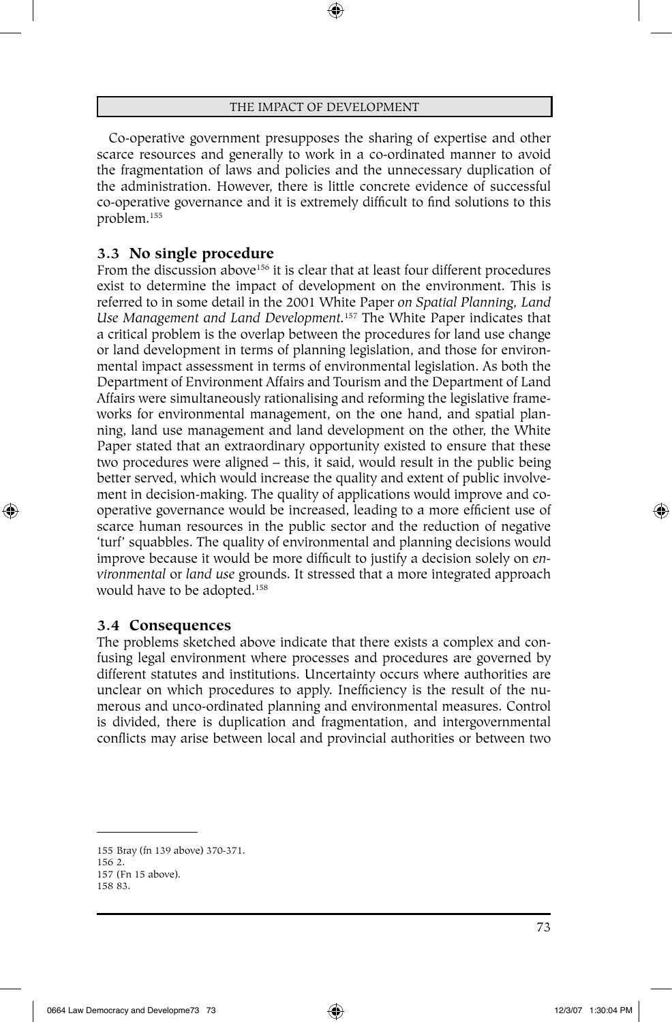⊕

Co-operative government presupposes the sharing of expertise and other scarce resources and generally to work in a co-ordinated manner to avoid the fragmentation of laws and policies and the unnecessary duplication of the administration. However, there is little concrete evidence of successful co-operative governance and it is extremely difficult to find solutions to this problem.155

### **3.3 No single procedure**

From the discussion above<sup>156</sup> it is clear that at least four different procedures exist to determine the impact of development on the environment. This is referred to in some detail in the 2001 White Paper *on Spatial Planning, Land Use Management and Land Development.*157 The White Paper indicates that a critical problem is the overlap between the procedures for land use change or land development in terms of planning legislation, and those for environmental impact assessment in terms of environmental legislation. As both the Department of Environment Affairs and Tourism and the Department of Land Affairs were simultaneously rationalising and reforming the legislative frameworks for environmental management, on the one hand, and spatial planning, land use management and land development on the other, the White Paper stated that an extraordinary opportunity existed to ensure that these two procedures were aligned – this, it said, would result in the public being better served, which would increase the quality and extent of public involvement in decision-making. The quality of applications would improve and cooperative governance would be increased, leading to a more efficient use of scarce human resources in the public sector and the reduction of negative 'turf' squabbles. The quality of environmental and planning decisions would improve because it would be more difficult to justify a decision solely on *environmental* or *land use* grounds. It stressed that a more integrated approach would have to be adopted.<sup>158</sup>

#### **3.4 Consequences**

⊕

The problems sketched above indicate that there exists a complex and confusing legal environment where processes and procedures are governed by different statutes and institutions. Uncertainty occurs where authorities are unclear on which procedures to apply. Inefficiency is the result of the numerous and unco-ordinated planning and environmental measures. Control is divided, there is duplication and fragmentation, and intergovernmental conflicts may arise between local and provincial authorities or between two

<sup>155</sup> Bray (fn 139 above) 370-371.

<sup>156</sup> 2.

<sup>157</sup> (Fn 15 above).

<sup>158</sup> 83.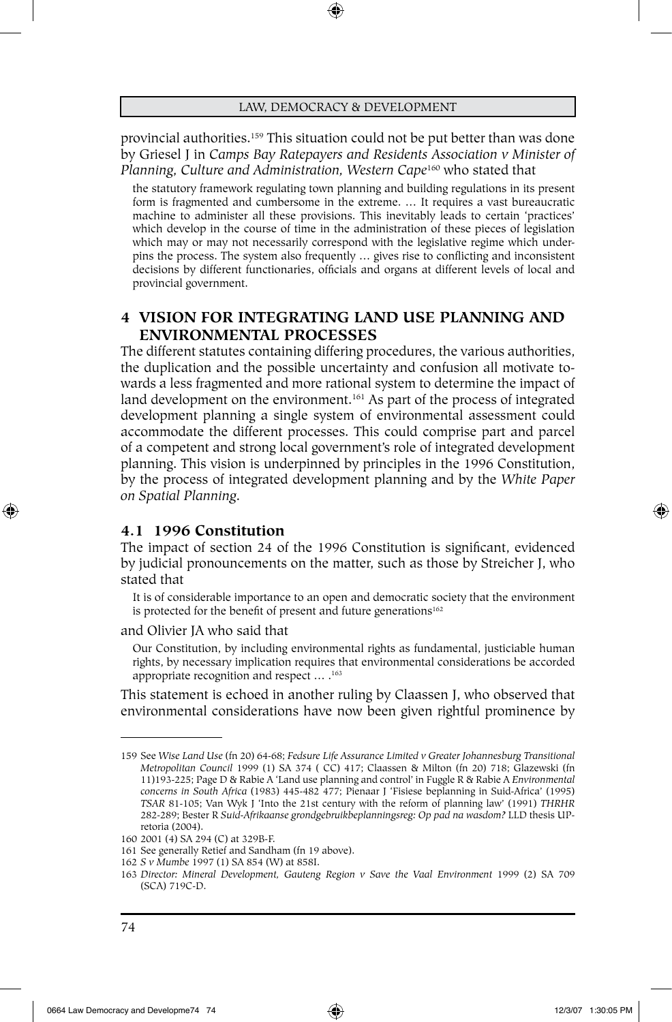provincial authorities.<sup>159</sup> This situation could not be put better than was done by Griesel J in *Camps Bay Ratepayers and Residents Association v Minister of Planning, Culture and Administration, Western Cape*<sup>160</sup> who stated that

the statutory framework regulating town planning and building regulations in its present form is fragmented and cumbersome in the extreme. … It requires a vast bureaucratic machine to administer all these provisions. This inevitably leads to certain 'practices' which develop in the course of time in the administration of these pieces of legislation which may or may not necessarily correspond with the legislative regime which underpins the process. The system also frequently … gives rise to conflicting and inconsistent decisions by different functionaries, officials and organs at different levels of local and provincial government.

# **4 VISION FOR INTEGRATING Land use PLANNING AND ENVIRONMENTAL PROCESSES**

The different statutes containing differing procedures, the various authorities, the duplication and the possible uncertainty and confusion all motivate towards a less fragmented and more rational system to determine the impact of land development on the environment.<sup>161</sup> As part of the process of integrated development planning a single system of environmental assessment could accommodate the different processes. This could comprise part and parcel of a competent and strong local government's role of integrated development planning. This vision is underpinned by principles in the 1996 Constitution, by the process of integrated development planning and by the *White Paper on Spatial Planning.*

# **4.1 1996 Constitution**

The impact of section 24 of the 1996 Constitution is significant, evidenced by judicial pronouncements on the matter, such as those by Streicher J, who stated that

It is of considerable importance to an open and democratic society that the environment is protected for the benefit of present and future generations<sup>162</sup>

and Olivier JA who said that

Our Constitution, by including environmental rights as fundamental, justiciable human rights, by necessary implication requires that environmental considerations be accorded appropriate recognition and respect ... .<sup>163</sup>

This statement is echoed in another ruling by Claassen J, who observed that environmental considerations have now been given rightful prominence by

⊕

♠

<sup>159</sup> See *Wise Land Use* (fn 20) 64-68; *Fedsure Life Assurance Limited v Greater Johannesburg Transitional Metropolitan Council* 1999 (1) SA 374 ( CC) 417; Claassen & Milton (fn 20) 718; Glazewski (fn 11)193-225; Page D & Rabie A 'Land use planning and control' in Fuggle R & Rabie A *Environmental concerns in South Africa* (1983) 445-482 477; Pienaar J 'Fisiese beplanning in Suid-Africa' (1995) *TSAR* 81-105; Van Wyk J 'Into the 21st century with the reform of planning law' (1991) *THRHR* 282-289; Bester R *Suid-Afrikaanse grondgebruikbeplanningsreg: Op pad na wasdom?* LLD thesis UPretoria (2004).

<sup>160</sup> 2001 (4) SA 294 (C) at 329B-F.

<sup>161</sup> See generally Retief and Sandham (fn 19 above).

<sup>162</sup> *S v Mumbe* 1997 (1) SA 854 (W) at 858I.

<sup>163</sup> *Director: Mineral Development, Gauteng Region v Save the Vaal Environment* 1999 (2) SA 709 (SCA) 719C-D.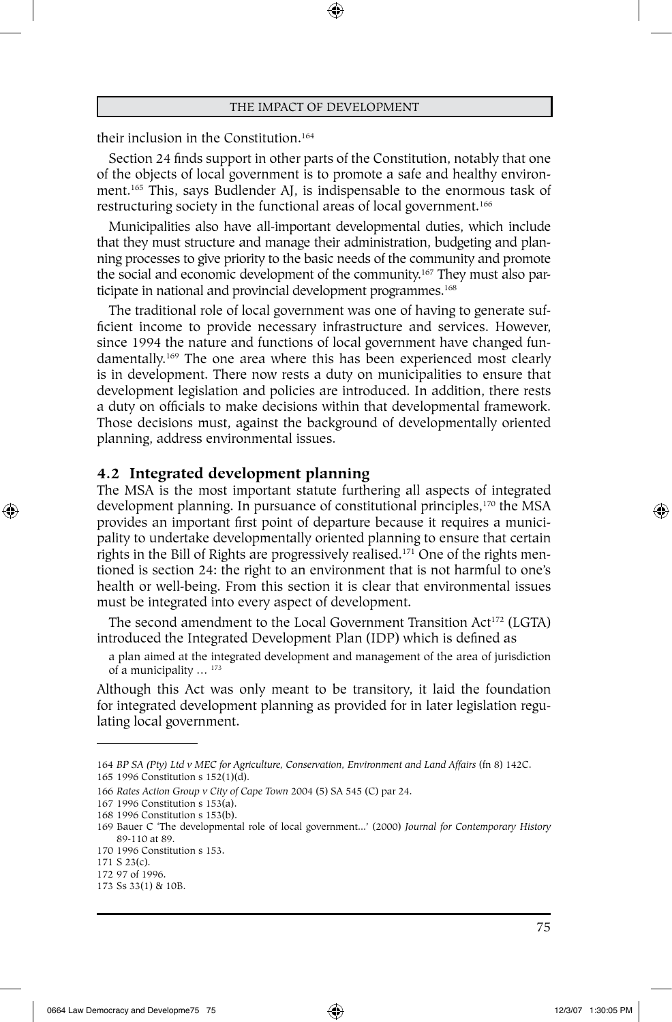⊕

their inclusion in the Constitution.<sup>164</sup>

Section 24 finds support in other parts of the Constitution, notably that one of the objects of local government is to promote a safe and healthy environment.165 This, says Budlender AJ, is indispensable to the enormous task of restructuring society in the functional areas of local government.<sup>166</sup>

Municipalities also have all-important developmental duties, which include that they must structure and manage their administration, budgeting and planning processes to give priority to the basic needs of the community and promote the social and economic development of the community.167 They must also participate in national and provincial development programmes.<sup>168</sup>

The traditional role of local government was one of having to generate sufficient income to provide necessary infrastructure and services. However, since 1994 the nature and functions of local government have changed fundamentally.169 The one area where this has been experienced most clearly is in development. There now rests a duty on municipalities to ensure that development legislation and policies are introduced. In addition, there rests a duty on officials to make decisions within that developmental framework. Those decisions must, against the background of developmentally oriented planning, address environmental issues.

### **4.2 Integrated development planning**

The MSA is the most important statute furthering all aspects of integrated development planning. In pursuance of constitutional principles,<sup>170</sup> the MSA provides an important first point of departure because it requires a municipality to undertake developmentally oriented planning to ensure that certain rights in the Bill of Rights are progressively realised.171 One of the rights mentioned is section 24: the right to an environment that is not harmful to one's health or well-being. From this section it is clear that environmental issues must be integrated into every aspect of development.

The second amendment to the Local Government Transition Act<sup>172</sup> (LGTA) introduced the Integrated Development Plan (IDP) which is defined as

a plan aimed at the integrated development and management of the area of jurisdiction of a municipality ... <sup>173</sup>

Although this Act was only meant to be transitory, it laid the foundation for integrated development planning as provided for in later legislation regulating local government.

⊕

<sup>164</sup> *BP SA (Pty) Ltd v MEC for Agriculture, Conservation, Environment and Land Affairs* (fn 8) 142C. 165 1996 Constitution s 152(1)(d).

<sup>166</sup> *Rates Action Group v City of Cape Town* 2004 (5) SA 545 (C) par 24.

<sup>167</sup> 1996 Constitution s 153(a).

<sup>168</sup> 1996 Constitution s 153(b).

<sup>169</sup> Bauer C 'The developmental role of local government...' (2000) *Journal for Contemporary History*  89-110 at 89.

<sup>170</sup> 1996 Constitution s 153.

<sup>171</sup> S 23(c).

<sup>172</sup> 97 of 1996. 173 Ss 33(1) & 10B.

<sup>75</sup>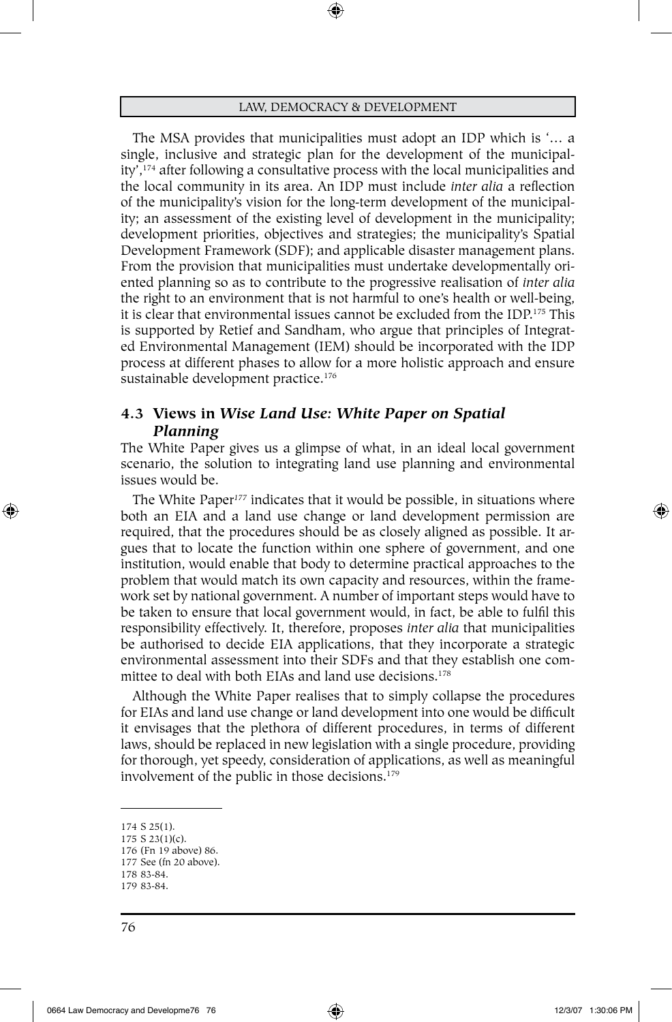⊕

The MSA provides that municipalities must adopt an IDP which is '… a single, inclusive and strategic plan for the development of the municipality',174 after following a consultative process with the local municipalities and the local community in its area. An IDP must include *inter alia* a reflection of the municipality's vision for the long-term development of the municipality; an assessment of the existing level of development in the municipality; development priorities, objectives and strategies; the municipality's Spatial Development Framework (SDF); and applicable disaster management plans. From the provision that municipalities must undertake developmentally oriented planning so as to contribute to the progressive realisation of *inter alia*  the right to an environment that is not harmful to one's health or well-being, it is clear that environmental issues cannot be excluded from the IDP.175 This is supported by Retief and Sandham, who argue that principles of Integrated Environmental Management (IEM) should be incorporated with the IDP process at different phases to allow for a more holistic approach and ensure sustainable development practice.<sup>176</sup>

# **4.3 Views in** *Wise Land Use: White Paper on Spatial Planning*

The White Paper gives us a glimpse of what, in an ideal local government scenario, the solution to integrating land use planning and environmental issues would be.

The White Paper*<sup>177</sup>* indicates that it would be possible, in situations where both an EIA and a land use change or land development permission are required, that the procedures should be as closely aligned as possible. It argues that to locate the function within one sphere of government, and one institution, would enable that body to determine practical approaches to the problem that would match its own capacity and resources, within the framework set by national government. A number of important steps would have to be taken to ensure that local government would, in fact, be able to fulfil this responsibility effectively. It, therefore, proposes *inter alia* that municipalities be authorised to decide EIA applications, that they incorporate a strategic environmental assessment into their SDFs and that they establish one committee to deal with both EIAs and land use decisions.178

Although the White Paper realises that to simply collapse the procedures for EIAs and land use change or land development into one would be difficult it envisages that the plethora of different procedures, in terms of different laws, should be replaced in new legislation with a single procedure, providing for thorough, yet speedy, consideration of applications, as well as meaningful involvement of the public in those decisions.179

⊕

<sup>174</sup> S 25(1).

<sup>175</sup> S 23(1)(c).

<sup>176</sup> (Fn 19 above) 86. 177 See (fn 20 above).

<sup>178</sup> 83-84. 179 83-84.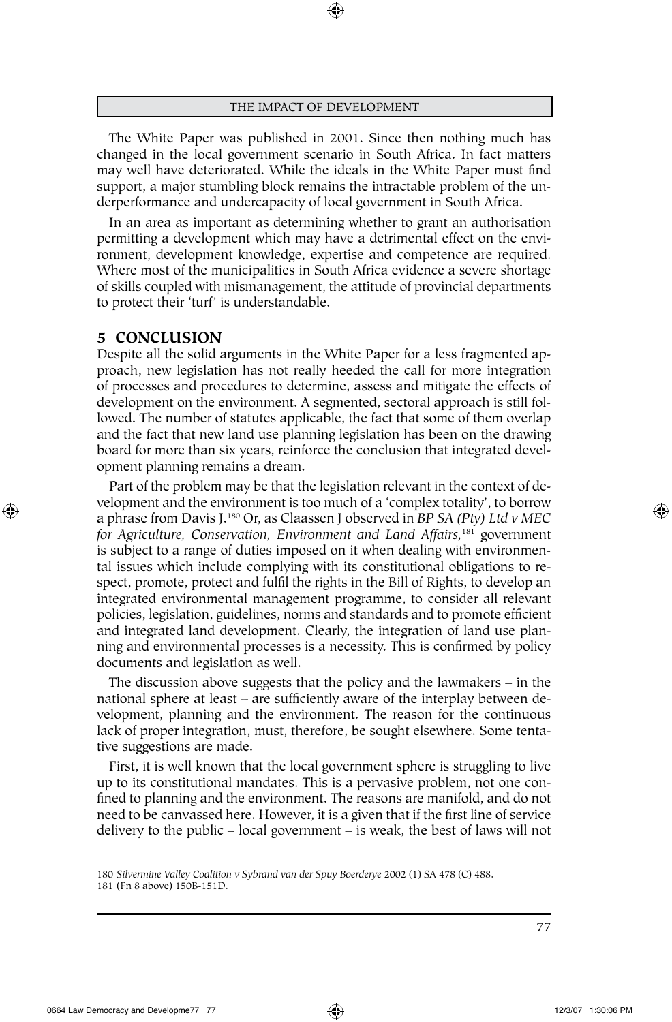The White Paper was published in 2001. Since then nothing much has changed in the local government scenario in South Africa. In fact matters may well have deteriorated. While the ideals in the White Paper must find support, a major stumbling block remains the intractable problem of the underperformance and undercapacity of local government in South Africa.

In an area as important as determining whether to grant an authorisation permitting a development which may have a detrimental effect on the environment, development knowledge, expertise and competence are required. Where most of the municipalities in South Africa evidence a severe shortage of skills coupled with mismanagement, the attitude of provincial departments to protect their 'turf' is understandable.

#### **5 CONCLUSION**

⊕

Despite all the solid arguments in the White Paper for a less fragmented approach, new legislation has not really heeded the call for more integration of processes and procedures to determine, assess and mitigate the effects of development on the environment. A segmented, sectoral approach is still followed. The number of statutes applicable, the fact that some of them overlap and the fact that new land use planning legislation has been on the drawing board for more than six years, reinforce the conclusion that integrated development planning remains a dream.

Part of the problem may be that the legislation relevant in the context of development and the environment is too much of a 'complex totality', to borrow a phrase from Davis J.180 Or, as Claassen J observed in *BP SA (Pty) Ltd v MEC for Agriculture, Conservation, Environment and Land Affairs,*181 government is subject to a range of duties imposed on it when dealing with environmental issues which include complying with its constitutional obligations to respect, promote, protect and fulfil the rights in the Bill of Rights, to develop an integrated environmental management programme, to consider all relevant policies, legislation, guidelines, norms and standards and to promote efficient and integrated land development. Clearly, the integration of land use planning and environmental processes is a necessity. This is confirmed by policy documents and legislation as well.

The discussion above suggests that the policy and the lawmakers – in the national sphere at least – are sufficiently aware of the interplay between development, planning and the environment. The reason for the continuous lack of proper integration, must, therefore, be sought elsewhere. Some tentative suggestions are made.

First, it is well known that the local government sphere is struggling to live up to its constitutional mandates. This is a pervasive problem, not one confined to planning and the environment. The reasons are manifold, and do not need to be canvassed here. However, it is a given that if the first line of service delivery to the public – local government – is weak, the best of laws will not

<sup>180</sup> *Silvermine Valley Coalition v Sybrand van der Spuy Boerderye* 2002 (1) SA 478 (C) 488. 181 (Fn 8 above) 150B-151D.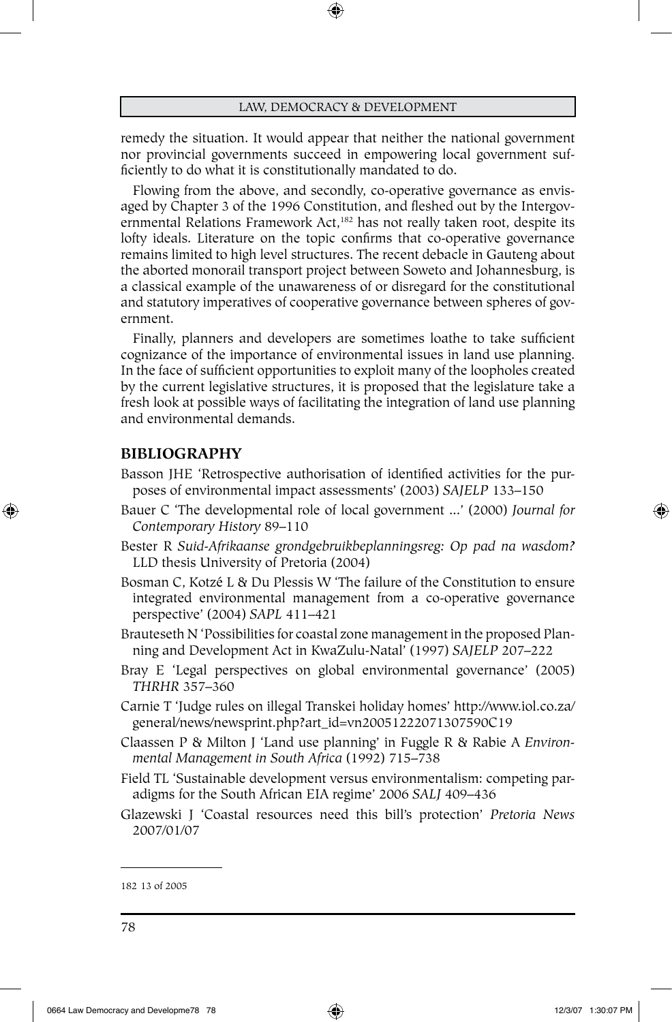⊕

remedy the situation. It would appear that neither the national government nor provincial governments succeed in empowering local government sufficiently to do what it is constitutionally mandated to do.

Flowing from the above, and secondly, co-operative governance as envisaged by Chapter 3 of the 1996 Constitution, and fleshed out by the Intergovernmental Relations Framework Act,<sup>182</sup> has not really taken root, despite its lofty ideals. Literature on the topic confirms that co-operative governance remains limited to high level structures. The recent debacle in Gauteng about the aborted monorail transport project between Soweto and Johannesburg, is a classical example of the unawareness of or disregard for the constitutional and statutory imperatives of cooperative governance between spheres of government.

Finally, planners and developers are sometimes loathe to take sufficient cognizance of the importance of environmental issues in land use planning. In the face of sufficient opportunities to exploit many of the loopholes created by the current legislative structures, it is proposed that the legislature take a fresh look at possible ways of facilitating the integration of land use planning and environmental demands.

# **BIBLIOGRAPHY**

⊕

- Basson JHE 'Retrospective authorisation of identified activities for the purposes of environmental impact assessments' (2003) *SAJELP* 133–150
- Bauer C 'The developmental role of local government ...' (2000) *Journal for Contemporary History* 89–110
- Bester R *Suid-Afrikaanse grondgebruikbeplanningsreg: Op pad na wasdom?*  LLD thesis University of Pretoria (2004)
- Bosman C, Kotzé L & Du Plessis W 'The failure of the Constitution to ensure integrated environmental management from a co-operative governance perspective' (2004) *SAPL* 411–421
- Brauteseth N 'Possibilities for coastal zone management in the proposed Planning and Development Act in KwaZulu-Natal' (1997) *SAJELP* 207–222
- Bray E 'Legal perspectives on global environmental governance' (2005) *THRHR* 357–360
- Carnie T 'Judge rules on illegal Transkei holiday homes' http://www.iol.co.za/ general/news/newsprint.php?art\_id=vn20051222071307590C19
- Claassen P & Milton J 'Land use planning' in Fuggle R & Rabie A *Environmental Management in South Africa* (1992) 715–738
- Field TL 'Sustainable development versus environmentalism: competing paradigms for the South African EIA regime' 2006 *SALJ* 409–436
- Glazewski J 'Coastal resources need this bill's protection' *Pretoria News* 2007/01/07

<sup>182</sup> 13 of 2005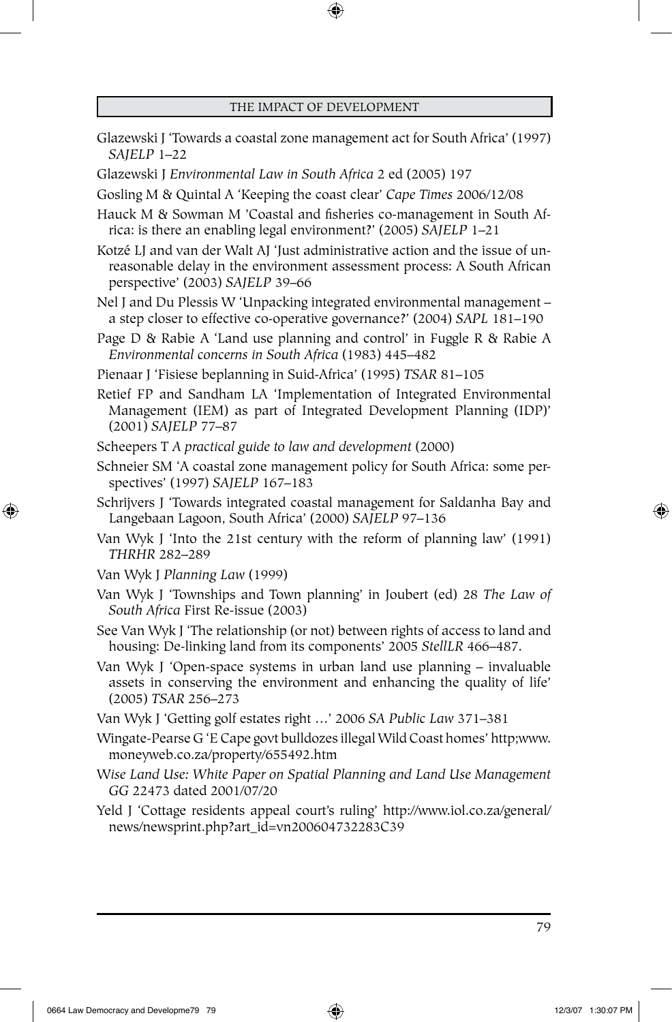$\bigoplus$ 

| Glazewski J 'Towards a coastal zone management act for South Africa' (1997)<br>SAJELP 1-22                                                                                                   |
|----------------------------------------------------------------------------------------------------------------------------------------------------------------------------------------------|
| Glazewski J Environmental Law in South Africa 2 ed (2005) 197                                                                                                                                |
| Gosling M & Quintal A 'Keeping the coast clear' Cape Times 2006/12/08                                                                                                                        |
| Hauck M & Sowman M 'Coastal and fisheries co-management in South Af-<br>rica: is there an enabling legal environment?' (2005) SAJELP 1-21                                                    |
| Kotzé LJ and van der Walt AJ 'Just administrative action and the issue of un-<br>reasonable delay in the environment assessment process: A South African<br>perspective' (2003) SAJELP 39-66 |
| Nel J and Du Plessis W 'Unpacking integrated environmental management -<br>a step closer to effective co-operative governance?' (2004) SAPL 181-190                                          |
| Page D & Rabie A 'Land use planning and control' in Fuggle R & Rabie A<br>Environmental concerns in South Africa (1983) 445-482                                                              |
| Pienaar J 'Fisiese beplanning in Suid-Africa' (1995) TSAR 81-105                                                                                                                             |
| Retief FP and Sandham LA 'Implementation of Integrated Environmental<br>Management (IEM) as part of Integrated Development Planning (IDP)'<br>(2001) SAJELP 77-87                            |
| Scheepers T A practical guide to law and development (2000)                                                                                                                                  |
| Schneier SM 'A coastal zone management policy for South Africa: some per-<br>spectives' (1997) SAJELP 167-183                                                                                |
| Schrijvers J 'Towards integrated coastal management for Saldanha Bay and<br>Langebaan Lagoon, South Africa' (2000) SAJELP 97-136                                                             |
| Van Wyk J 'Into the 21st century with the reform of planning law' (1991)<br>THRHR 282-289                                                                                                    |
| Van Wyk J Planning Law (1999)                                                                                                                                                                |
| Van Wyk J 'Townships and Town planning' in Joubert (ed) 28 The Law of<br>South Africa First Re-issue (2003)                                                                                  |
| See Van Wyk J 'The relationship (or not) between rights of access to land and<br>housing: De-linking land from its components' 2005 StellLR 466-487.                                         |
| $\mathbf{v}$                                                                                                                                                                                 |

Van Wyk J 'Open-space systems in urban land use planning – invaluable assets in conserving the environment and enhancing the quality of life' (2005) *TSAR* 256–273

Van Wyk J 'Getting golf estates right …' 2006 *SA Public Law* 371–381

Wingate-Pearse G 'E Cape govt bulldozes illegal Wild Coast homes' http;www. moneyweb.co.za/property/655492.htm

W*ise Land Use: White Paper on Spatial Planning and Land Use Management GG* 22473 dated 2001/07/20

Yeld J 'Cottage residents appeal court's ruling' http://www.iol.co.za/general/ news/newsprint.php?art\_id=vn200604732283C39

79

⊕